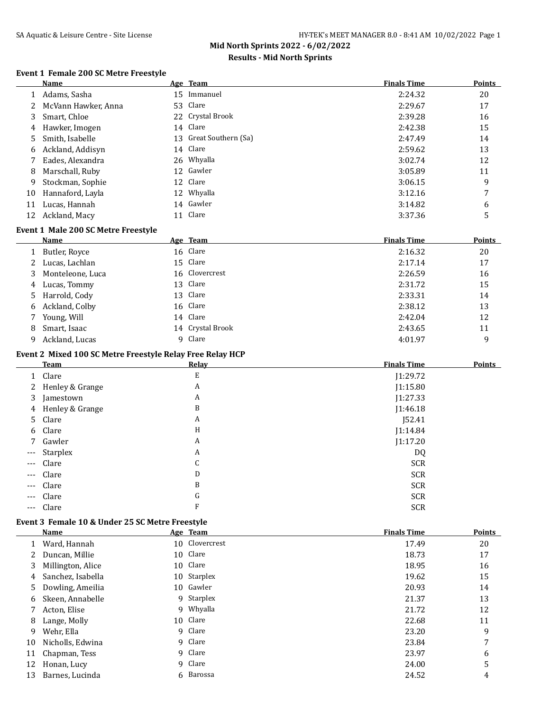# **Results - Mid North Sprints**

### **Event 1 Female 200 SC Metre Freestyle**

 $\overline{a}$ 

J.

|    | Name                |    | Age Team               | <b>Finals Time</b> | <b>Points</b> |
|----|---------------------|----|------------------------|--------------------|---------------|
|    | Adams, Sasha        | 15 | Immanuel               | 2:24.32            | 20            |
|    | McVann Hawker, Anna |    | 53 Clare               | 2:29.67            | 17            |
| 3  | Smart, Chloe        |    | 22 Crystal Brook       | 2:39.28            | 16            |
| 4  | Hawker, Imogen      |    | 14 Clare               | 2:42.38            | 15            |
| 5  | Smith, Isabelle     |    | 13 Great Southern (Sa) | 2:47.49            | 14            |
| 6  | Ackland, Addisyn    |    | 14 Clare               | 2:59.62            | 13            |
|    | Eades, Alexandra    |    | 26 Whyalla             | 3:02.74            | 12            |
| 8  | Marschall, Ruby     |    | 12 Gawler              | 3:05.89            | 11            |
| 9  | Stockman, Sophie    |    | 12 Clare               | 3:06.15            | 9             |
| 10 | Hannaford, Layla    |    | 12 Whyalla             | 3:12.16            | 7             |
| 11 | Lucas, Hannah       |    | 14 Gawler              | 3:14.82            | 6             |
| 12 | Ackland, Macy       |    | 11 Clare               | 3:37.36            | 5             |

### **Event 1 Male 200 SC Metre Freestyle**

|    | Name               | Age Team         | <b>Finals Time</b> | <b>Points</b> |
|----|--------------------|------------------|--------------------|---------------|
|    | 1 Butler, Royce    | 16 Clare         | 2:16.32            | 20            |
|    | 2 Lucas, Lachlan   | 15 Clare         | 2:17.14            | 17            |
|    | 3 Monteleone, Luca | 16 Clovercrest   | 2:26.59            | 16            |
|    | 4 Lucas, Tommy     | 13 Clare         | 2:31.72            | 15            |
|    | 5 Harrold, Cody    | 13 Clare         | 2:33.31            | 14            |
|    | 6 Ackland, Colby   | 16 Clare         | 2:38.12            | 13            |
|    | 7 Young, Will      | 14 Clare         | 2:42.04            | 12            |
| 8  | Smart, Isaac       | 14 Crystal Brook | 2:43.65            | 11            |
| 9. | Ackland, Lucas     | 9 Clare          | 4:01.97            | 9             |

### **Event 2 Mixed 100 SC Metre Freestyle Relay Free Relay HCP**

|          | <b>Team</b>       | Relav | <b>Finals Time</b> | <b>Points</b> |
|----------|-------------------|-------|--------------------|---------------|
|          | 1 Clare           | E     | J1:29.72           |               |
|          | 2 Henley & Grange | A     | J1:15.80           |               |
|          | 3 Jamestown       | A     | J1:27.33           |               |
|          | 4 Henley & Grange | B     | J1:46.18           |               |
|          | 5 Clare           | A     | J52.41             |               |
|          | 6 Clare           | H     | J1:14.84           |               |
|          | 7 Gawler          | A     | J1:17.20           |               |
| $\cdots$ | Starplex          | A     | DQ                 |               |
| $---$    | Clare             | C     | <b>SCR</b>         |               |
| $\cdots$ | Clare             | D     | <b>SCR</b>         |               |
| $---$    | Clare             | B     | <b>SCR</b>         |               |
| $---$    | Clare             | G     | <b>SCR</b>         |               |
| $\cdots$ | Clare             | F     | <b>SCR</b>         |               |

### **Event 3 Female 10 & Under 25 SC Metre Freestyle**

|    | <b>Name</b>       | Age Team       | <b>Finals Time</b> | <b>Points</b> |
|----|-------------------|----------------|--------------------|---------------|
|    | Ward, Hannah      | 10 Clovercrest | 17.49              | 20            |
|    | Duncan, Millie    | 10 Clare       | 18.73              | 17            |
| 3. | Millington, Alice | 10 Clare       | 18.95              | 16            |
| 4  | Sanchez, Isabella | 10 Starplex    | 19.62              | 15            |
| 5  | Dowling, Ameilia  | 10 Gawler      | 20.93              | 14            |
| 6  | Skeen, Annabelle  | 9 Starplex     | 21.37              | 13            |
|    | Acton, Elise      | 9 Whyalla      | 21.72              | 12            |
| 8  | Lange, Molly      | 10 Clare       | 22.68              | 11            |
| 9  | Wehr, Ella        | 9 Clare        | 23.20              | 9             |
| 10 | Nicholls, Edwina  | 9 Clare        | 23.84              | 7             |
| 11 | Chapman, Tess     | 9 Clare        | 23.97              | 6             |
| 12 | Honan, Lucy       | 9 Clare        | 24.00              | 5             |
| 13 | Barnes, Lucinda   | 6 Barossa      | 24.52              | 4             |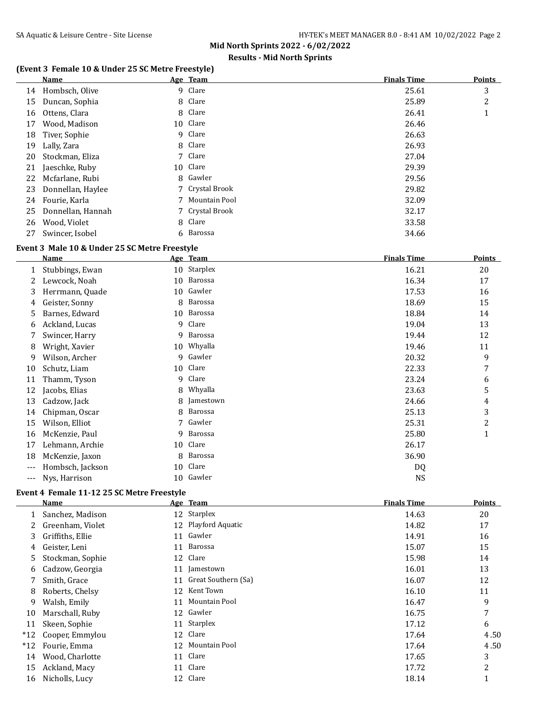# **Results - Mid North Sprints**

### **(Event 3 Female 10 & Under 25 SC Metre Freestyle)**

|    | Name              | Age Team        | <b>Finals Time</b> | <b>Points</b>             |
|----|-------------------|-----------------|--------------------|---------------------------|
| 14 | Hombsch, Olive    | 9 Clare         | 25.61              | 3                         |
| 15 | Duncan, Sophia    | 8 Clare         | 25.89              | 2                         |
| 16 | Ottens, Clara     | 8 Clare         | 26.41              | $\blacktriangleleft$<br>т |
| 17 | Wood, Madison     | 10 Clare        | 26.46              |                           |
| 18 | Tiver, Sophie     | 9 Clare         | 26.63              |                           |
| 19 | Lally, Zara       | 8 Clare         | 26.93              |                           |
| 20 | Stockman, Eliza   | 7 Clare         | 27.04              |                           |
| 21 | Jaeschke, Ruby    | 10 Clare        | 29.39              |                           |
| 22 | Mcfarlane, Rubi   | 8 Gawler        | 29.56              |                           |
| 23 | Donnellan, Haylee | 7 Crystal Brook | 29.82              |                           |
| 24 | Fourie, Karla     | 7 Mountain Pool | 32.09              |                           |
| 25 | Donnellan, Hannah | 7 Crystal Brook | 32.17              |                           |
| 26 | Wood, Violet      | 8 Clare         | 33.58              |                           |
| 27 | Swincer, Isobel   | 6 Barossa       | 34.66              |                           |

### **Event 3 Male 10 & Under 25 SC Metre Freestyle**

|     | Name             | Age | <b>Team</b> | <b>Finals Time</b> | <b>Points</b> |
|-----|------------------|-----|-------------|--------------------|---------------|
| 1   | Stubbings, Ewan  | 10  | Starplex    | 16.21              | 20            |
| 2   | Lewcock, Noah    | 10  | Barossa     | 16.34              | 17            |
| 3   | Herrmann, Quade  | 10  | Gawler      | 17.53              | 16            |
| 4   | Geister, Sonny   | 8   | Barossa     | 18.69              | 15            |
| 5   | Barnes, Edward   | 10  | Barossa     | 18.84              | 14            |
| 6   | Ackland, Lucas   | 9   | Clare       | 19.04              | 13            |
|     | Swincer, Harry   | 9.  | Barossa     | 19.44              | 12            |
| 8   | Wright, Xavier   | 10  | Whyalla     | 19.46              | 11            |
| 9   | Wilson, Archer   | 9   | Gawler      | 20.32              | 9             |
| 10  | Schutz, Liam     | 10  | Clare       | 22.33              | 7             |
| 11  | Thamm, Tyson     | 9   | Clare       | 23.24              | 6             |
| 12  | Jacobs, Elias    | 8   | Whyalla     | 23.63              | 5             |
| 13  | Cadzow, Jack     | 8   | Jamestown   | 24.66              | 4             |
| 14  | Chipman, Oscar   | 8   | Barossa     | 25.13              | 3             |
| 15  | Wilson, Elliot   | 7   | Gawler      | 25.31              | 2             |
| 16  | McKenzie, Paul   | 9   | Barossa     | 25.80              | 1             |
| 17  | Lehmann, Archie  | 10  | Clare       | 26.17              |               |
| 18  | McKenzie, Jaxon  | 8   | Barossa     | 36.90              |               |
| --- | Hombsch, Jackson | 10  | Clare       | DQ                 |               |
| --- | Nys, Harrison    | 10  | Gawler      | <b>NS</b>          |               |
|     |                  |     |             |                    |               |

### **Event 4 Female 11-12 25 SC Metre Freestyle**

|       | Name             |    | Age Team            | <b>Finals Time</b> | <b>Points</b> |
|-------|------------------|----|---------------------|--------------------|---------------|
|       | Sanchez, Madison | 12 | Starplex            | 14.63              | 20            |
|       | Greenham, Violet |    | 12 Playford Aquatic | 14.82              | 17            |
| 3     | Griffiths, Ellie | 11 | Gawler              | 14.91              | 16            |
| 4     | Geister, Leni    | 11 | Barossa             | 15.07              | 15            |
| 5.    | Stockman, Sophie | 12 | Clare               | 15.98              | 14            |
| 6     | Cadzow, Georgia  | 11 | Jamestown           | 16.01              | 13            |
| 7     | Smith, Grace     | 11 | Great Southern (Sa) | 16.07              | 12            |
| 8     | Roberts, Chelsy  | 12 | Kent Town           | 16.10              | 11            |
| 9     | Walsh, Emily     | 11 | Mountain Pool       | 16.47              | 9             |
| 10    | Marschall, Ruby  | 12 | Gawler              | 16.75              | 7             |
| 11    | Skeen, Sophie    | 11 | Starplex            | 17.12              | 6             |
| $*12$ | Cooper, Emmylou  |    | 12 Clare            | 17.64              | 4.50          |
| $*12$ | Fourie, Emma     | 12 | Mountain Pool       | 17.64              | 4.50          |
| 14    | Wood, Charlotte  | 11 | Clare               | 17.65              | 3             |
| 15    | Ackland, Macy    | 11 | Clare               | 17.72              | 2             |
| 16    | Nicholls, Lucy   |    | 12 Clare            | 18.14              |               |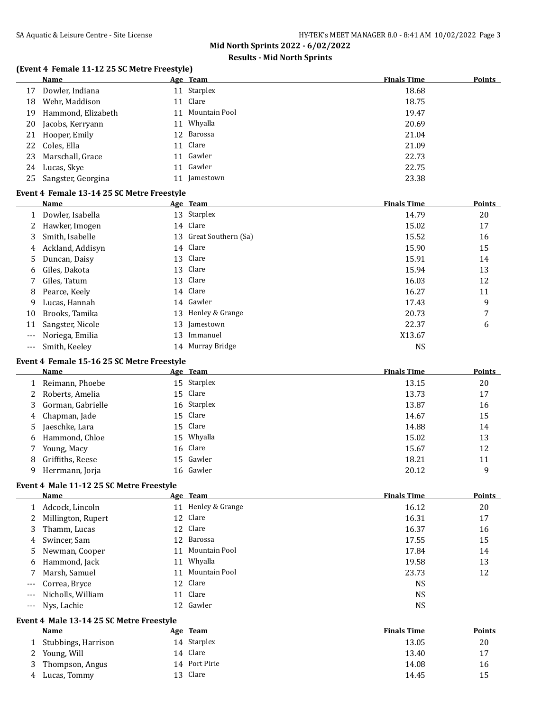# **Results - Mid North Sprints**

# **(Event 4 Female 11-12 25 SC Metre Freestyle)**

|              | <b>Name</b>                                |    | Age Team               | <b>Finals Time</b> | <b>Points</b>       |
|--------------|--------------------------------------------|----|------------------------|--------------------|---------------------|
| 17           | Dowler, Indiana                            |    | 11 Starplex            | 18.68              |                     |
| 18           | Wehr, Maddison                             |    | 11 Clare               | 18.75              |                     |
| 19           | Hammond, Elizabeth                         | 11 | Mountain Pool          | 19.47              |                     |
| 20           | Jacobs, Kerryann                           |    | 11 Whyalla             | 20.69              |                     |
| 21           | Hooper, Emily                              |    | 12 Barossa             | 21.04              |                     |
| 22           | Coles, Ella                                | 11 | Clare                  | 21.09              |                     |
| 23           | Marschall, Grace                           | 11 | Gawler                 | 22.73              |                     |
| 24           | Lucas, Skye                                |    | 11 Gawler              | 22.75              |                     |
| 25           | Sangster, Georgina                         |    | 11 Jamestown           | 23.38              |                     |
|              | Event 4 Female 13-14 25 SC Metre Freestyle |    |                        |                    |                     |
|              | Name                                       |    | Age Team               | <b>Finals Time</b> | <b>Points</b>       |
|              | 1 Dowler, Isabella                         |    | 13 Starplex            | 14.79              | 20                  |
| 2            | Hawker, Imogen                             |    | 14 Clare               | 15.02              | 17                  |
| 3            | Smith, Isabelle                            |    | 13 Great Southern (Sa) | 15.52              | 16                  |
| 4            | Ackland, Addisyn                           |    | 14 Clare               | 15.90              | 15                  |
| 5            | Duncan, Daisy                              |    | 13 Clare               | 15.91              | 14                  |
| 6            | Giles, Dakota                              |    | 13 Clare               | 15.94              | 13                  |
| 7            | Giles, Tatum                               |    | 13 Clare               | 16.03              | 12                  |
| 8            | Pearce, Keely                              |    | 14 Clare               | 16.27              | 11                  |
| 9            | Lucas, Hannah                              |    | 14 Gawler              | 17.43              | 9                   |
| 10           | Brooks, Tamika                             |    | 13 Henley & Grange     | 20.73              | 7                   |
| 11           | Sangster, Nicole                           | 13 | Jamestown              | 22.37              | 6                   |
| ---          | Noriega, Emilia                            | 13 | Immanuel               | X13.67             |                     |
| $---$        | Smith, Keeley                              |    | 14 Murray Bridge       | <b>NS</b>          |                     |
|              |                                            |    |                        |                    |                     |
|              | Event 4 Female 15-16 25 SC Metre Freestyle |    |                        |                    |                     |
|              | Name                                       |    | Age Team               | <b>Finals Time</b> | <b>Points</b>       |
| 1            | Reimann, Phoebe                            |    | 15 Starplex            | 13.15              | 20                  |
| 2            | Roberts, Amelia                            |    | 15 Clare               | 13.73              | 17                  |
| 3            | Gorman, Gabrielle                          |    | 16 Starplex            | 13.87              | 16                  |
| 4            | Chapman, Jade                              |    | 15 Clare               | 14.67              | 15                  |
| 5            | Jaeschke, Lara                             |    | 15 Clare               | 14.88              | 14                  |
| 6            | Hammond, Chloe                             | 15 | Whyalla                | 15.02              | 13                  |
| 7            | Young, Macy                                |    | 16 Clare               | 15.67              | 12                  |
| 8            | Griffiths, Reese                           |    | 15 Gawler              | 18.21              | 11                  |
| 9            | Herrmann, Jorja                            |    | 16 Gawler              | 20.12              | 9                   |
|              | Event 4 Male 11-12 25 SC Metre Freestyle   |    |                        |                    |                     |
|              | <b>Name</b>                                |    | Age Team               | <b>Finals Time</b> | <b>Points</b>       |
|              | 1 Adcock, Lincoln                          |    | 11 Henley & Grange     | 16.12              | 20                  |
| 2            | Millington, Rupert                         |    | 12 Clare               | 16.31              | 17                  |
| 3            | Thamm, Lucas                               |    | 12 Clare               | 16.37              | 16                  |
| 4            | Swincer, Sam                               |    | 12 Barossa             | 17.55              | 15                  |
| 5            | Newman, Cooper                             |    | 11 Mountain Pool       | 17.84              | 14                  |
| 6            | Hammond, Jack                              |    | 11 Whyalla             | 19.58              | 13                  |
| 7            | Marsh, Samuel                              |    | 11 Mountain Pool       | 23.73              | 12                  |
| $---$        | Correa, Bryce                              |    | 12 Clare               | <b>NS</b>          |                     |
| $---$        | Nicholls, William                          |    | 11 Clare               | <b>NS</b>          |                     |
| $---$        | Nys, Lachie                                |    | 12 Gawler              | <b>NS</b>          |                     |
|              |                                            |    |                        |                    |                     |
|              | Event 4 Male 13-14 25 SC Metre Freestyle   |    |                        |                    |                     |
|              | Name                                       |    | Age Team               | <b>Finals Time</b> |                     |
| $\mathbf{1}$ | Stubbings, Harrison                        |    | 14 Starplex            | 13.05              | 20                  |
| 2            |                                            |    | 14 Clare               | 13.40              | 17                  |
| 3            | Young, Will<br>Thompson, Angus             |    | 14 Port Pirie          | 14.08              | <b>Points</b><br>16 |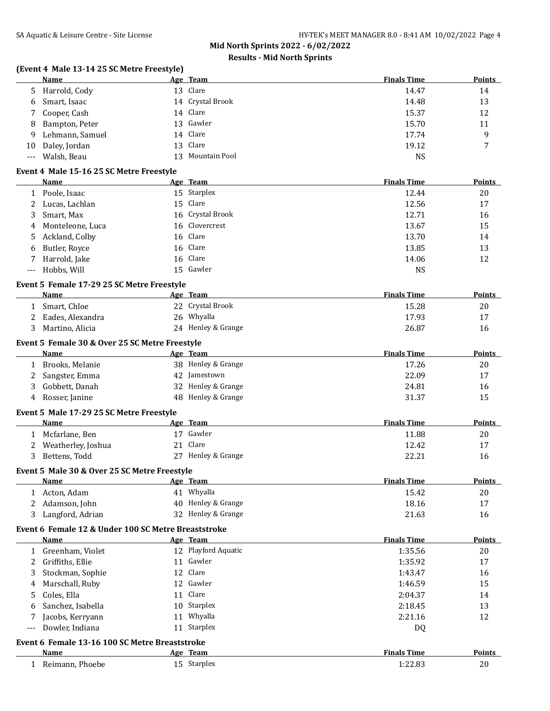# **Results - Mid North Sprints**

# **(Event 4 Male 13-14 25 SC Metre Freestyle)**

|              | Name                                                   |    | Age Team            | <b>Finals Time</b> | <b>Points</b> |
|--------------|--------------------------------------------------------|----|---------------------|--------------------|---------------|
| 5.           | Harrold, Cody                                          |    | 13 Clare            | 14.47              | 14            |
| 6            | Smart, Isaac                                           |    | 14 Crystal Brook    | 14.48              | 13            |
| 7            | Cooper, Cash                                           |    | 14 Clare            | 15.37              | 12            |
| 8            | Bampton, Peter                                         | 13 | Gawler              | 15.70              | 11            |
| 9            | Lehmann, Samuel                                        | 14 | Clare               | 17.74              | 9             |
| 10           | Daley, Jordan                                          | 13 | Clare               | 19.12              | 7             |
| $---$        | Walsh, Beau                                            | 13 | Mountain Pool       | <b>NS</b>          |               |
|              | Event 4 Male 15-16 25 SC Metre Freestyle               |    |                     |                    |               |
|              | Name                                                   |    | Age Team            | <b>Finals Time</b> | Points        |
|              | 1 Poole, Isaac                                         |    | 15 Starplex         | 12.44              | 20            |
| 2            | Lucas, Lachlan                                         |    | 15 Clare            | 12.56              | 17            |
| 3            | Smart, Max                                             |    | 16 Crystal Brook    | 12.71              | 16            |
| 4            | Monteleone, Luca                                       |    | 16 Clovercrest      | 13.67              | 15            |
| 5            | Ackland, Colby                                         |    | 16 Clare            | 13.70              | 14            |
| 6            | Butler, Royce                                          |    | 16 Clare            | 13.85              | 13            |
| 7            | Harrold, Jake                                          |    | 16 Clare            | 14.06              | 12            |
| ---          | Hobbs, Will                                            |    | 15 Gawler           | <b>NS</b>          |               |
|              |                                                        |    |                     |                    |               |
|              | Event 5 Female 17-29 25 SC Metre Freestyle<br>Name     |    | Age Team            | <b>Finals Time</b> | <b>Points</b> |
| 1            | Smart, Chloe                                           |    | 22 Crystal Brook    | 15.28              | 20            |
| 2            | Eades, Alexandra                                       |    | 26 Whyalla          | 17.93              | 17            |
| 3            | Martino, Alicia                                        |    | 24 Henley & Grange  | 26.87              | 16            |
|              |                                                        |    |                     |                    |               |
|              | Event 5 Female 30 & Over 25 SC Metre Freestyle         |    |                     |                    |               |
|              | <b>Name</b>                                            |    | Age Team            | <b>Finals Time</b> | <b>Points</b> |
| 1            | Brooks, Melanie                                        |    | 38 Henley & Grange  | 17.26              | 20            |
| 2            | Sangster, Emma                                         |    | 42 Jamestown        | 22.09              | 17            |
| 3            | Gobbett, Danah                                         |    | 32 Henley & Grange  | 24.81              | 16            |
| 4            | Rosser, Janine                                         |    | 48 Henley & Grange  | 31.37              | 15            |
|              | Event 5 Male 17-29 25 SC Metre Freestyle               |    |                     |                    |               |
|              | Name                                                   |    | Age Team            | <b>Finals Time</b> | <b>Points</b> |
| 1            | Mcfarlane, Ben                                         |    | 17 Gawler           | 11.88              | 20            |
| 2            | Weatherley, Joshua                                     |    | 21 Clare            | 12.42              | 17            |
| 3            | Bettens, Todd                                          |    | 27 Henley & Grange  | 22.21              | 16            |
|              | Event 5 Male 30 & Over 25 SC Metre Freestyle           |    |                     |                    |               |
|              | <u>Name</u>                                            |    | Age Team            | <b>Finals Time</b> | <b>Points</b> |
| 1            | Acton, Adam                                            |    | 41 Whyalla          | 15.42              | 20            |
| 2            | Adamson, John                                          |    | 40 Henley & Grange  | 18.16              | 17            |
| 3            | Langford, Adrian                                       |    | 32 Henley & Grange  | 21.63              | 16            |
|              | Event 6 Female 12 & Under 100 SC Metre Breaststroke    |    |                     |                    |               |
|              | <b>Name</b>                                            |    | Age Team            | <b>Finals Time</b> | <b>Points</b> |
| $\mathbf{1}$ | Greenham, Violet                                       |    | 12 Playford Aquatic | 1:35.56            | 20            |
| 2            | Griffiths, Ellie                                       | 11 | Gawler              | 1:35.92            | 17            |
| 3            | Stockman, Sophie                                       | 12 | Clare               | 1:43.47            | 16            |
| 4            | Marschall, Ruby                                        |    | 12 Gawler           | 1:46.59            | 15            |
| 5            | Coles, Ella                                            |    | 11 Clare            | 2:04.37            | 14            |
| 6            | Sanchez, Isabella                                      |    | 10 Starplex         | 2:18.45            | 13            |
| 7            | Jacobs, Kerryann                                       | 11 | Whyalla             | 2:21.16            | 12            |
| ---          | Dowler, Indiana                                        |    | 11 Starplex         | DQ                 |               |
|              |                                                        |    |                     |                    |               |
|              | Event 6 Female 13-16 100 SC Metre Breaststroke<br>Name |    | Age Team            | <b>Finals Time</b> | <b>Points</b> |
| 1            | Reimann, Phoebe                                        |    | 15 Starplex         | 1:22.83            | 20            |
|              |                                                        |    |                     |                    |               |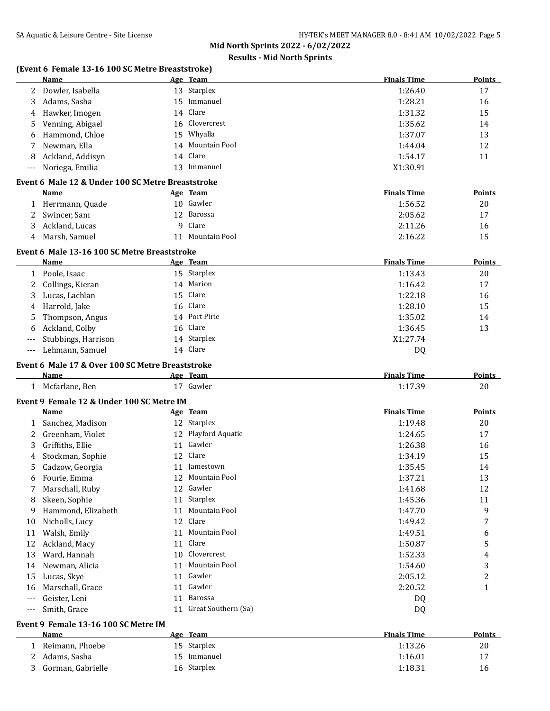# **Results - Mid North Sprints**

### **(Event 6 Female 13-16 100 SC Metre Breaststroke)**

|              | Name                                              |    | Age Team               | <b>Finals Time</b> | <b>Points</b> |
|--------------|---------------------------------------------------|----|------------------------|--------------------|---------------|
| 2            | Dowler, Isabella                                  |    | 13 Starplex            | 1:26.40            | 17            |
| 3            | Adams, Sasha                                      |    | 15 Immanuel            | 1:28.21            | 16            |
| 4            | Hawker, Imogen                                    | 14 | Clare                  | 1:31.32            | 15            |
| 5            | Venning, Abigael                                  | 16 | Clovercrest            | 1:35.62            | 14            |
| 6            | Hammond, Chloe                                    | 15 | Whyalla                | 1:37.07            | 13            |
| 7            | Newman, Ella                                      | 14 | Mountain Pool          | 1:44.04            | 12            |
| 8            | Ackland, Addisyn                                  | 14 | Clare                  | 1:54.17            | 11            |
| $---$        | Noriega, Emilia                                   |    | 13 Immanuel            | X1:30.91           |               |
|              | Event 6 Male 12 & Under 100 SC Metre Breaststroke |    |                        |                    |               |
|              | Name                                              |    | Age Team               | <b>Finals Time</b> | Points        |
|              | 1 Herrmann, Quade                                 |    | 10 Gawler              | 1:56.52            | 20            |
| 2            | Swincer, Sam                                      |    | 12 Barossa             | 2:05.62            | 17            |
|              |                                                   | 9  | Clare                  |                    |               |
| 3            | Ackland, Lucas                                    |    | 11 Mountain Pool       | 2:11.26            | 16            |
| 4            | Marsh, Samuel                                     |    |                        | 2:16.22            | 15            |
|              | Event 6 Male 13-16 100 SC Metre Breaststroke      |    |                        |                    |               |
|              | <b>Name</b>                                       |    | Age Team               | <b>Finals Time</b> | <b>Points</b> |
|              | 1 Poole, Isaac                                    |    | 15 Starplex            | 1:13.43            | 20            |
| 2            | Collings, Kieran                                  |    | 14 Marion              | 1:16.42            | 17            |
| 3            | Lucas, Lachlan                                    | 15 | Clare                  | 1:22.18            | 16            |
| 4            | Harrold, Jake                                     | 16 | Clare                  | 1:28.10            | 15            |
| 5            | Thompson, Angus                                   |    | 14 Port Pirie          | 1:35.02            | 14            |
| 6            | Ackland, Colby                                    | 16 | Clare                  | 1:36.45            | 13            |
| $---$        | Stubbings, Harrison                               |    | 14 Starplex            | X1:27.74           |               |
| $---$        | Lehmann, Samuel                                   |    | 14 Clare               | <b>DQ</b>          |               |
|              | Event 6 Male 17 & Over 100 SC Metre Breaststroke  |    |                        |                    |               |
|              | Name                                              |    | Age Team               | <b>Finals Time</b> | <b>Points</b> |
|              | 1 Mcfarlane, Ben                                  |    | 17 Gawler              | 1:17.39            | 20            |
|              |                                                   |    |                        |                    |               |
|              | Event 9 Female 12 & Under 100 SC Metre IM         |    |                        |                    |               |
|              | Name                                              |    | Age Team               | <b>Finals Time</b> | Points        |
|              | 1 Sanchez, Madison                                |    | 12 Starplex            | 1:19.48            | 20            |
| 2            | Greenham, Violet                                  |    | 12 Playford Aquatic    | 1:24.65            | 17            |
| 3            | Griffiths, Ellie                                  |    | 11 Gawler              | 1:26.38            | 16            |
| 4            | Stockman, Sophie                                  |    | 12 Clare               | 1:34.19            | 15            |
| 5            | Cadzow, Georgia                                   |    | 11 Jamestown           | 1:35.45            | 14            |
| 6            | Fourie, Emma                                      |    | 12 Mountain Pool       | 1:37.21            | 13            |
| 7            | Marschall, Ruby                                   |    | 12 Gawler              | 1:41.68            | 12            |
| 8            | Skeen, Sophie                                     |    | 11 Starplex            | 1:45.36            | 11            |
| 9            | Hammond, Elizabeth                                |    | 11 Mountain Pool       | 1:47.70            | 9             |
| 10           | Nicholls, Lucy                                    | 12 | Clare                  | 1:49.42            | 7             |
| 11           | Walsh, Emily                                      | 11 | Mountain Pool          | 1:49.51            | 6             |
| 12           | Ackland, Macy                                     | 11 | Clare                  | 1:50.87            | 5             |
| 13           | Ward, Hannah                                      | 10 | Clovercrest            | 1:52.33            | 4             |
| 14           | Newman, Alicia                                    | 11 | Mountain Pool          | 1:54.60            | 3             |
| 15           | Lucas, Skye                                       | 11 | Gawler                 | 2:05.12            | 2             |
| 16           | Marschall, Grace                                  | 11 | Gawler                 | 2:20.52            | $\mathbf{1}$  |
| $---$        | Geister, Leni                                     | 11 | Barossa                | DQ                 |               |
| $---$        | Smith, Grace                                      |    | 11 Great Southern (Sa) | DQ                 |               |
|              | Event 9 Female 13-16 100 SC Metre IM              |    |                        |                    |               |
|              | <b>Name</b>                                       |    | Age Team               | <b>Finals Time</b> | <b>Points</b> |
| $\mathbf{1}$ | Reimann, Phoebe                                   |    | 15 Starplex            | 1:13.26            | 20            |
|              | Adams, Sasha                                      |    | 15 Immanuel            |                    |               |
| 2            |                                                   |    | 16 Starplex            | 1:16.01            | 17            |
| 3            | Gorman, Gabrielle                                 |    |                        | 1:18.31            | 16            |
|              |                                                   |    |                        |                    |               |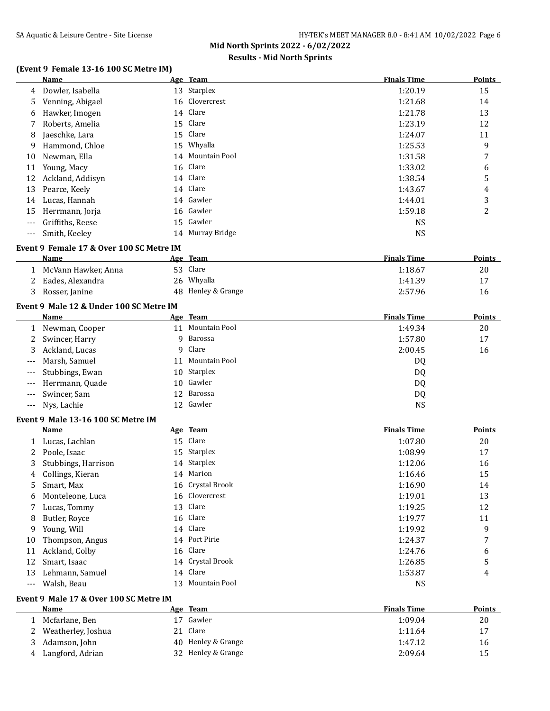# **Results - Mid North Sprints**

# **(Event 9 Female 13-16 100 SC Metre IM)**<br>Name Age Team

|                | Name                                     |    | Age Team           | <b>Finals Time</b> | <b>Points</b> |
|----------------|------------------------------------------|----|--------------------|--------------------|---------------|
| 4              | Dowler, Isabella                         |    | 13 Starplex        | 1:20.19            | 15            |
| 5              | Venning, Abigael                         |    | 16 Clovercrest     | 1:21.68            | 14            |
| 6              | Hawker, Imogen                           |    | 14 Clare           | 1:21.78            | 13            |
| 7              | Roberts, Amelia                          |    | 15 Clare           | 1:23.19            | 12            |
| 8              | Jaeschke, Lara                           | 15 | Clare              | 1:24.07            | 11            |
| 9              | Hammond, Chloe                           |    | 15 Whyalla         | 1:25.53            | 9             |
| 10             | Newman, Ella                             | 14 | Mountain Pool      | 1:31.58            | 7             |
| 11             | Young, Macy                              |    | 16 Clare           | 1:33.02            | 6             |
| 12             | Ackland, Addisyn                         |    | 14 Clare           | 1:38.54            | 5             |
| 13             | Pearce, Keely                            |    | 14 Clare           | 1:43.67            | 4             |
| 14             | Lucas, Hannah                            |    | 14 Gawler          | 1:44.01            | 3             |
| 15             | Herrmann, Jorja                          |    | 16 Gawler          | 1:59.18            | 2             |
|                | Griffiths, Reese                         |    | 15 Gawler          | <b>NS</b>          |               |
|                | Smith, Keeley                            |    | 14 Murray Bridge   | <b>NS</b>          |               |
|                | Event 9 Female 17 & Over 100 SC Metre IM |    |                    |                    |               |
|                | Name                                     |    | Age Team           | <b>Finals Time</b> | <b>Points</b> |
|                | 1 McVann Hawker, Anna                    |    | 53 Clare           | 1:18.67            | 20            |
| 2              | Eades, Alexandra                         |    | 26 Whyalla         | 1:41.39            | 17            |
| 3              | Rosser, Janine                           |    | 48 Henley & Grange | 2:57.96            | 16            |
|                | Event 9 Male 12 & Under 100 SC Metre IM  |    |                    |                    |               |
|                | Name                                     |    | Age Team           | <b>Finals Time</b> | <b>Points</b> |
|                | 1 Newman, Cooper                         |    | 11 Mountain Pool   | 1:49.34            | 20            |
| 2              | Swincer, Harry                           | 9  | Barossa            | 1:57.80            | 17            |
| 3              | Ackland, Lucas                           | 9  | Clare              | 2:00.45            | 16            |
| ---            | Marsh, Samuel                            | 11 | Mountain Pool      | DQ                 |               |
| $---$          | Stubbings, Ewan                          | 10 | Starplex           | DQ                 |               |
| $---$          | Herrmann, Quade                          | 10 | Gawler             | DQ                 |               |
| ---            | Swincer, Sam                             | 12 | Barossa            | DQ                 |               |
| $\overline{a}$ | Nys, Lachie                              |    | 12 Gawler          | <b>NS</b>          |               |
|                | Event 9 Male 13-16 100 SC Metre IM       |    |                    |                    |               |
|                | Name                                     |    | Age Team           | <b>Finals Time</b> | Points        |
| $\mathbf{1}$   | Lucas, Lachlan                           |    | 15 Clare           | 1:07.80            | 20            |
| 2              | Poole, Isaac                             |    | 15 Starplex        | 1:08.99            | 17            |
| 3              | Stubbings, Harrison                      |    | 14 Starplex        | 1:12.06            | 16            |
| 4              | Collings, Kieran                         |    | 14 Marion          | 1:16.46            | 15            |
| 5              | Smart, Max                               |    | 16 Crystal Brook   | 1:16.90            | 14            |
| 6              | Monteleone, Luca                         |    | 16 Clovercrest     | 1:19.01            | 13            |
| 7              | Lucas, Tommy                             |    | 13 Clare           | 1:19.25            | 12            |
| 8              | Butler, Royce                            |    | 16 Clare           | 1:19.77            | 11            |
| 9              | Young, Will                              |    | 14 Clare           | 1:19.92            | 9             |
| 10             | Thompson, Angus                          |    | 14 Port Pirie      | 1:24.37            | 7             |
| 11             | Ackland, Colby                           |    | 16 Clare           | 1:24.76            | 6             |
| 12             | Smart, Isaac                             |    | 14 Crystal Brook   | 1:26.85            | 5             |
| 13             | Lehmann, Samuel                          |    | 14 Clare           | 1:53.87            | 4             |
| $---$          | Walsh, Beau                              |    | 13 Mountain Pool   | <b>NS</b>          |               |
|                |                                          |    |                    |                    |               |

### **Event 9 Male 17 & Over 100 SC Metre IM**

|   | Name               | Age Team           | <b>Finals Time</b> | Points |
|---|--------------------|--------------------|--------------------|--------|
|   | Mcfarlane, Ben     | Gawler             | 1:09.04            | 20     |
|   | Weatherley, Joshua | Clare              | 1:11.64            | 17     |
|   | Adamson, John      | 40 Henley & Grange | 1:47.12            | 16     |
| 4 | Langford, Adrian   | 32 Henley & Grange | 2:09.64            | 15     |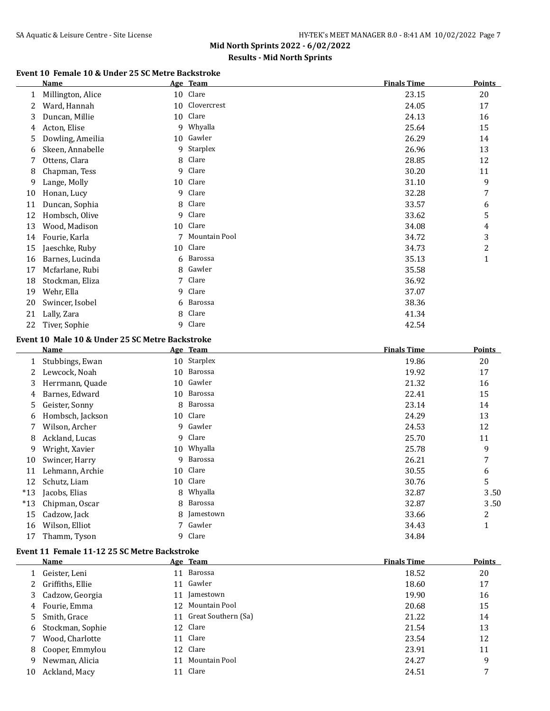# **Results - Mid North Sprints**

### **Event 10 Female 10 & Under 25 SC Metre Backstroke**

| <b>Name</b>       |    |               | <b>Finals Time</b>                                                                       | <b>Points</b> |
|-------------------|----|---------------|------------------------------------------------------------------------------------------|---------------|
| Millington, Alice | 10 |               | 23.15                                                                                    | 20            |
| Ward, Hannah      | 10 |               | 24.05                                                                                    | 17            |
| Duncan, Millie    | 10 | Clare         | 24.13                                                                                    | 16            |
| Acton, Elise      | 9  | Whyalla       | 25.64                                                                                    | 15            |
| Dowling, Ameilia  | 10 |               | 26.29                                                                                    | 14            |
| Skeen, Annabelle  | 9  | Starplex      | 26.96                                                                                    | 13            |
| Ottens, Clara     | 8  | Clare         | 28.85                                                                                    | 12            |
| Chapman, Tess     | 9  | Clare         | 30.20                                                                                    | 11            |
| Lange, Molly      |    |               | 31.10                                                                                    | 9             |
| Honan, Lucy       | 9  | Clare         | 32.28                                                                                    | 7             |
| Duncan, Sophia    | 8  | Clare         | 33.57                                                                                    | 6             |
| Hombsch, Olive    | 9  |               | 33.62                                                                                    | 5             |
| Wood, Madison     | 10 |               | 34.08                                                                                    | 4             |
| Fourie, Karla     |    | Mountain Pool | 34.72                                                                                    | 3             |
| Jaeschke, Ruby    | 10 |               | 34.73                                                                                    | 2             |
| Barnes, Lucinda   | 6  | Barossa       | 35.13                                                                                    | $\mathbf{1}$  |
| Mcfarlane, Rubi   | 8  |               | 35.58                                                                                    |               |
| Stockman, Eliza   | 7  | Clare         | 36.92                                                                                    |               |
| Wehr, Ella        | 9  | Clare         | 37.07                                                                                    |               |
| Swincer, Isobel   | 6  | Barossa       | 38.36                                                                                    |               |
| Lally, Zara       | 8  | Clare         | 41.34                                                                                    |               |
| Tiver, Sophie     | 9  | Clare         | 42.54                                                                                    |               |
|                   |    | 10            | Age Team<br>Clare<br>Clovercrest<br>Gawler<br>Clare<br>Clare<br>Clare<br>Clare<br>Gawler |               |

### **Event 10 Male 10 & Under 25 SC Metre Backstroke**

|       | Name             |    | Age Team    | <b>Finals Time</b> | <b>Points</b> |
|-------|------------------|----|-------------|--------------------|---------------|
| 1     | Stubbings, Ewan  |    | 10 Starplex | 19.86              | 20            |
| 2     | Lewcock, Noah    | 10 | Barossa     | 19.92              | 17            |
| 3     | Herrmann, Quade  | 10 | Gawler      | 21.32              | 16            |
| 4     | Barnes, Edward   | 10 | Barossa     | 22.41              | 15            |
| 5     | Geister, Sonny   | 8  | Barossa     | 23.14              | 14            |
| 6     | Hombsch, Jackson | 10 | Clare       | 24.29              | 13            |
| 7     | Wilson, Archer   | 9  | Gawler      | 24.53              | 12            |
| 8     | Ackland, Lucas   | 9  | Clare       | 25.70              | 11            |
| 9     | Wright, Xavier   |    | 10 Whyalla  | 25.78              | 9             |
| 10    | Swincer, Harry   | 9  | Barossa     | 26.21              | 7             |
| 11    | Lehmann, Archie  | 10 | Clare       | 30.55              | 6             |
| 12    | Schutz, Liam     | 10 | Clare       | 30.76              | 5             |
| $*13$ | Jacobs, Elias    | 8. | Whyalla     | 32.87              | 3.50          |
| $*13$ | Chipman, Oscar   | 8  | Barossa     | 32.87              | 3.50          |
| 15    | Cadzow, Jack     | 8  | Jamestown   | 33.66              | 2             |
| 16    | Wilson, Elliot   |    | Gawler      | 34.43              | 1             |
| 17    | Thamm, Tyson     | 9  | Clare       | 34.84              |               |

### **Event 11 Female 11-12 25 SC Metre Backstroke**

|    | Name               |    | Age Team               | <b>Finals Time</b> | <b>Points</b> |
|----|--------------------|----|------------------------|--------------------|---------------|
|    | Geister, Leni      |    | 11 Barossa             | 18.52              | 20            |
|    | 2 Griffiths, Ellie |    | 11 Gawler              | 18.60              | 17            |
|    | 3 Cadzow, Georgia  | 11 | Jamestown              | 19.90              | 16            |
| 4  | Fourie, Emma       |    | 12 Mountain Pool       | 20.68              | 15            |
| 5. | Smith, Grace       |    | 11 Great Southern (Sa) | 21.22              | 14            |
| 6  | Stockman, Sophie   |    | 12 Clare               | 21.54              | 13            |
|    | Wood, Charlotte    |    | 11 Clare               | 23.54              | 12            |
| 8  | Cooper, Emmylou    |    | 12 Clare               | 23.91              | 11            |
| 9  | Newman, Alicia     | 11 | Mountain Pool          | 24.27              | 9             |
| 10 | Ackland, Macy      |    | 11 Clare               | 24.51              | 7             |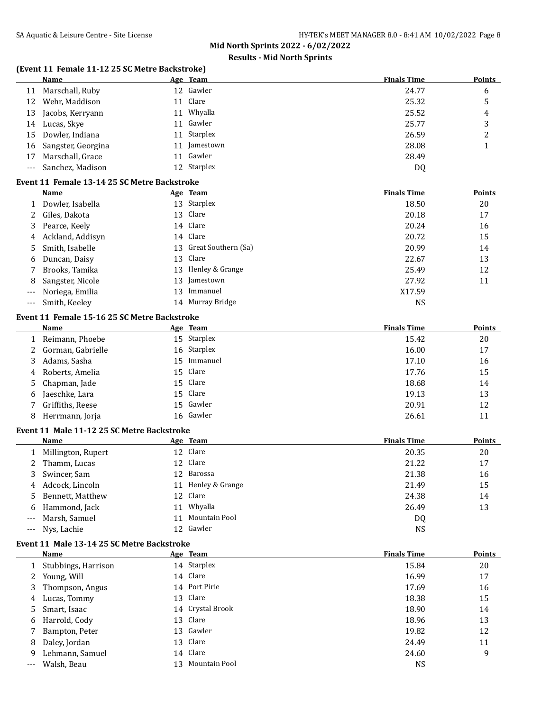# **Results - Mid North Sprints**

# **(Event 11 Female 11-12 25 SC Metre Backstroke)**

|    | Name                  | Age Team     | <b>Finals Time</b> | <b>Points</b> |
|----|-----------------------|--------------|--------------------|---------------|
| 11 | Marschall, Ruby       | 12 Gawler    | 24.77              | 6             |
| 12 | Wehr, Maddison        | 11 Clare     | 25.32              | 5             |
|    | 13 Jacobs, Kerryann   | 11 Whyalla   | 25.52              | 4             |
|    | 14 Lucas, Skye        | 11 Gawler    | 25.77              | 3             |
|    | 15 Dowler, Indiana    | 11 Starplex  | 26.59              | າ<br>▵        |
|    | 16 Sangster, Georgina | 11 Jamestown | 28.08              |               |
|    | 17 Marschall, Grace   | 11 Gawler    | 28.49              |               |
|    | --- Sanchez, Madison  | 12 Starplex  | D <sub>0</sub>     |               |

#### **Event 11 Female 13-14 25 SC Metre Backstroke**

|       | Name             |    | Age Team               | <b>Finals Time</b> | Points |
|-------|------------------|----|------------------------|--------------------|--------|
|       | Dowler, Isabella |    | 13 Starplex            | 18.50              | 20     |
| 2     | Giles, Dakota    |    | 13 Clare               | 20.18              | 17     |
| 3.    | Pearce, Keely    |    | 14 Clare               | 20.24              | 16     |
| 4     | Ackland, Addisyn |    | 14 Clare               | 20.72              | 15     |
| 5.    | Smith, Isabelle  |    | 13 Great Southern (Sa) | 20.99              | 14     |
| 6     | Duncan, Daisy    |    | 13 Clare               | 22.67              | 13     |
|       | Brooks, Tamika   |    | 13 Henley & Grange     | 25.49              | 12     |
| 8     | Sangster, Nicole | 13 | Jamestown              | 27.92              | 11     |
| $---$ | Noriega, Emilia  | 13 | Immanuel               | X17.59             |        |
| $---$ | Smith, Keeley    |    | 14 Murray Bridge       | NS                 |        |

#### **Event 11 Female 15-16 25 SC Metre Backstroke**

 $\overline{a}$ 

|    | Name                | Age Team    | <b>Finals Time</b> | <b>Points</b> |
|----|---------------------|-------------|--------------------|---------------|
|    | Reimann, Phoebe     | 15 Starplex | 15.42              | 20            |
|    | 2 Gorman, Gabrielle | 16 Starplex | 16.00              | 17            |
| 3. | Adams, Sasha        | 15 Immanuel | 17.10              | 16            |
|    | 4 Roberts, Amelia   | 15 Clare    | 17.76              | 15            |
|    | 5 Chapman, Jade     | 15 Clare    | 18.68              | 14            |
| 6  | Jaeschke, Lara      | 15 Clare    | 19.13              | 13            |
|    | Griffiths, Reese    | 15 Gawler   | 20.91              | 12            |
|    | Herrmann, Jorja     | 16 Gawler   | 26.61              | 11            |

#### **Event 11 Male 11-12 25 SC Metre Backstroke**

|   | Name               |    | Age Team           | <b>Finals Time</b> | <b>Points</b> |
|---|--------------------|----|--------------------|--------------------|---------------|
|   | Millington, Rupert |    | 12 Clare           | 20.35              | 20            |
|   | Thamm, Lucas       |    | 12 Clare           | 21.22              | 17            |
| 3 | Swincer, Sam       |    | 12 Barossa         | 21.38              | 16            |
| 4 | Adcock, Lincoln    |    | 11 Henley & Grange | 21.49              | 15            |
|   | 5 Bennett, Matthew |    | 12 Clare           | 24.38              | 14            |
| 6 | Hammond, Jack      | 11 | Whyalla            | 26.49              | 13            |
|   | --- Marsh, Samuel  | 11 | Mountain Pool      | DQ                 |               |
|   | --- Nys, Lachie    |    | 12 Gawler          | <b>NS</b>          |               |

### **Event 11 Male 13-14 25 SC Metre Backstroke**

|    | Name                |    | Age Team         | <b>Finals Time</b> | Points |
|----|---------------------|----|------------------|--------------------|--------|
|    | Stubbings, Harrison |    | 14 Starplex      | 15.84              | 20     |
| 2  | Young, Will         |    | 14 Clare         | 16.99              | 17     |
| 3  | Thompson, Angus     |    | 14 Port Pirie    | 17.69              | 16     |
| 4  | Lucas, Tommy        |    | 13 Clare         | 18.38              | 15     |
| 5. | Smart, Isaac        |    | 14 Crystal Brook | 18.90              | 14     |
| 6  | Harrold, Cody       |    | 13 Clare         | 18.96              | 13     |
|    | Bampton, Peter      |    | 13 Gawler        | 19.82              | 12     |
| 8  | Daley, Jordan       |    | 13 Clare         | 24.49              | 11     |
| 9  | Lehmann, Samuel     |    | 14 Clare         | 24.60              | 9      |
|    | Walsh, Beau         | 13 | Mountain Pool    | <b>NS</b>          |        |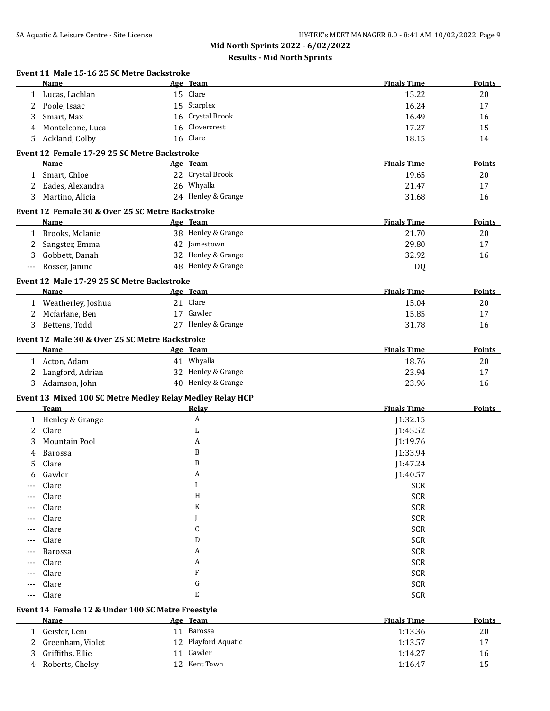|              | Event 11 Male 15-16 25 SC Metre Backstroke<br>Name        |    | Age Team           | <b>Finals Time</b> | Points        |
|--------------|-----------------------------------------------------------|----|--------------------|--------------------|---------------|
| $\mathbf{1}$ | Lucas, Lachlan                                            |    | 15 Clare           | 15.22              | 20            |
| 2            | Poole, Isaac                                              |    | 15 Starplex        | 16.24              | 17            |
| 3            | Smart, Max                                                |    | 16 Crystal Brook   | 16.49              | 16            |
| 4            | Monteleone, Luca                                          | 16 | Clovercrest        | 17.27              | 15            |
| 5            | Ackland, Colby                                            |    | 16 Clare           | 18.15              | 14            |
|              | Event 12 Female 17-29 25 SC Metre Backstroke              |    |                    |                    |               |
|              | Name                                                      |    | Age Team           | <b>Finals Time</b> | Points        |
|              | 1 Smart, Chloe                                            |    | 22 Crystal Brook   | 19.65              | 20            |
| 2            | Eades, Alexandra                                          |    | 26 Whyalla         | 21.47              | 17            |
| 3            | Martino, Alicia                                           |    | 24 Henley & Grange | 31.68              | 16            |
|              | Event 12 Female 30 & Over 25 SC Metre Backstroke          |    |                    |                    |               |
|              | Name                                                      |    | Age Team           | <b>Finals Time</b> | <b>Points</b> |
|              | 1 Brooks, Melanie                                         |    | 38 Henley & Grange | 21.70              | 20            |
| 2            | Sangster, Emma                                            |    | 42 Jamestown       | 29.80              | 17            |
| 3            | Gobbett, Danah                                            |    | 32 Henley & Grange | 32.92              | 16            |
| ---          | Rosser, Janine                                            |    | 48 Henley & Grange | DQ                 |               |
|              | Event 12 Male 17-29 25 SC Metre Backstroke                |    |                    |                    |               |
|              | <b>Name</b>                                               |    | Age Team           | <b>Finals Time</b> | <b>Points</b> |
|              | 1 Weatherley, Joshua                                      |    | 21 Clare           | 15.04              | 20            |
| 2            | Mcfarlane, Ben                                            |    | 17 Gawler          | 15.85              | 17            |
| 3            | Bettens, Todd                                             |    | 27 Henley & Grange | 31.78              | 16            |
|              | Event 12 Male 30 & Over 25 SC Metre Backstroke            |    |                    |                    |               |
|              | Name                                                      |    | Age Team           | <b>Finals Time</b> | Points        |
|              | 1 Acton, Adam                                             |    | 41 Whyalla         | 18.76              | 20            |
| 2            | Langford, Adrian                                          |    | 32 Henley & Grange | 23.94              | 17            |
|              | 3 Adamson, John                                           |    | 40 Henley & Grange | 23.96              | 16            |
|              | Event 13 Mixed 100 SC Metre Medley Relay Medley Relay HCP |    |                    |                    |               |
|              | Team                                                      |    | Relay              | <b>Finals Time</b> | <b>Points</b> |
|              | 1 Henley & Grange                                         |    | A                  | J1:32.15           |               |
| 2            | Clare                                                     |    | L                  | J1:45.52           |               |
| 3            | Mountain Pool                                             |    | A                  | J1:19.76           |               |
| 4            | Barossa                                                   |    | B                  | J1:33.94           |               |
| 5            | Clare                                                     |    | B                  | J1:47.24           |               |
| 6            | Gawler                                                    |    | A                  | J1:40.57           |               |
|              | Clare                                                     |    | I                  | <b>SCR</b>         |               |
| $---$        | Clare                                                     |    | H                  | <b>SCR</b>         |               |
| ---          | Clare                                                     |    | K                  | <b>SCR</b>         |               |
| ---          | Clare                                                     |    |                    | <b>SCR</b>         |               |
| ---          | Clare                                                     |    | С                  | <b>SCR</b>         |               |
| ---          | Clare                                                     |    | D                  | <b>SCR</b>         |               |
| ---          | Barossa                                                   |    | A                  | <b>SCR</b>         |               |
| ---          | Clare                                                     |    | A                  | <b>SCR</b>         |               |
| ---          | Clare                                                     |    | F                  | <b>SCR</b>         |               |
| $---$        | Clare                                                     |    | G                  | <b>SCR</b>         |               |
| ---          | Clare                                                     |    | E                  | <b>SCR</b>         |               |
|              | Event 14 Female 12 & Under 100 SC Metre Freestyle         |    |                    |                    |               |
|              | <b>Name</b>                                               |    | Age Team           | <b>Finals Time</b> | <b>Points</b> |
|              |                                                           |    |                    |                    |               |

| Name               | Age ream            | rinais lime | <b>POINTS</b> |
|--------------------|---------------------|-------------|---------------|
| Geister, Leni      | Barossa             | 1:13.36     | 20            |
| 2 Greenham, Violet | 12 Playford Aquatic | 1:13.57     | 17            |
| Griffiths, Ellie   | Gawler              | 1:14.27     | 16            |
| Roberts, Chelsy    | 12 Kent Town        | 1:16.47     | 15            |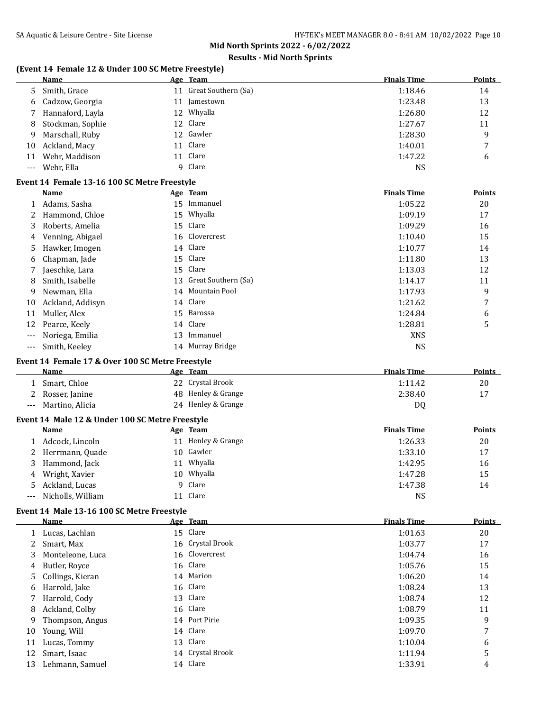# **Results - Mid North Sprints**

# **(Event 14 Female 12 & Under 100 SC Metre Freestyle)**

|    | <b>Name</b>        | Age Team               | <b>Finals Time</b> | <b>Points</b> |
|----|--------------------|------------------------|--------------------|---------------|
|    | 5 Smith, Grace     | 11 Great Southern (Sa) | 1:18.46            | 14            |
|    | 6 Cadzow, Georgia  | 11 Jamestown           | 1:23.48            | 13            |
|    | Hannaford, Layla   | 12 Whyalla             | 1:26.80            | 12            |
|    | 8 Stockman, Sophie | 12 Clare               | 1:27.67            | 11            |
| 9  | Marschall, Ruby    | 12 Gawler              | 1:28.30            | 9             |
| 10 | Ackland, Macy      | 11 Clare               | 1:40.01            | 7             |
| 11 | Wehr, Maddison     | 11 Clare               | 1:47.22            | 6             |
|    | --- Wehr. Ella     | 9 Clare                | <b>NS</b>          |               |

#### **Event 14 Female 13-16 100 SC Metre Freestyle**

|                     | Name             |    | Age Team               | <b>Finals Time</b> | <b>Points</b> |
|---------------------|------------------|----|------------------------|--------------------|---------------|
|                     | Adams, Sasha     |    | 15 Immanuel            | 1:05.22            | 20            |
| 2                   | Hammond, Chloe   |    | 15 Whyalla             | 1:09.19            | 17            |
| 3                   | Roberts, Amelia  |    | 15 Clare               | 1:09.29            | 16            |
| 4                   | Venning, Abigael |    | 16 Clovercrest         | 1:10.40            | 15            |
| 5                   | Hawker, Imogen   |    | 14 Clare               | 1:10.77            | 14            |
| 6                   | Chapman, Jade    |    | 15 Clare               | 1:11.80            | 13            |
|                     | Jaeschke, Lara   |    | 15 Clare               | 1:13.03            | 12            |
| 8                   | Smith, Isabelle  |    | 13 Great Southern (Sa) | 1:14.17            | 11            |
| 9                   | Newman, Ella     |    | 14 Mountain Pool       | 1:17.93            | 9             |
| 10                  | Ackland, Addisyn |    | 14 Clare               | 1:21.62            | 7             |
| 11                  | Muller, Alex     |    | 15 Barossa             | 1:24.84            | 6             |
| 12                  | Pearce, Keely    |    | 14 Clare               | 1:28.81            | 5             |
| $---$               | Noriega, Emilia  | 13 | Immanuel               | <b>XNS</b>         |               |
| $\qquad \qquad - -$ | Smith, Keeley    |    | 14 Murray Bridge       | <b>NS</b>          |               |

### **Event 14 Female 17 & Over 100 SC Metre Freestyle**

|       | Name            | Age Team           | <b>Finals Time</b> | Points |
|-------|-----------------|--------------------|--------------------|--------|
|       | Smart, Chloe    | 22 Crystal Brook   | 1:11.42            | 20     |
|       | Rosser, Janine  | 48 Henley & Grange | 2:38.40            |        |
| $---$ | Martino, Alicia | 24 Henley & Grange | DQ                 |        |

### **Event 14 Male 12 & Under 100 SC Metre Freestyle**

|    | Name              |     | Age Team           | <b>Finals Time</b> | <b>Points</b> |
|----|-------------------|-----|--------------------|--------------------|---------------|
|    | Adcock, Lincoln   |     | 11 Henley & Grange | 1:26.33            | 20            |
|    | 2 Herrmann, Quade |     | 10 Gawler          | 1:33.10            | 17            |
| 3  | Hammond, Jack     | 11  | Whyalla            | 1:42.95            | 16            |
| 4  | Wright, Xavier    | 10. | Whyalla            | 1:47.28            | 15            |
| 5. | Ackland, Lucas    |     | 9 Clare            | 1:47.38            | 14            |
|    | Nicholls, William |     | 11 Clare           | NS                 |               |

### **Event 14 Male 13-16 100 SC Metre Freestyle**

|    | Name               | Age Team         | <b>Finals Time</b> | <b>Points</b> |
|----|--------------------|------------------|--------------------|---------------|
|    | Lucas, Lachlan     | 15 Clare         | 1:01.63            | 20            |
|    | Smart, Max         | 16 Crystal Brook | 1:03.77            | 17            |
| 3  | Monteleone, Luca   | 16 Clovercrest   | 1:04.74            | 16            |
| 4  | Butler, Royce      | 16 Clare         | 1:05.76            | 15            |
|    | 5 Collings, Kieran | 14 Marion        | 1:06.20            | 14            |
| 6  | Harrold, Jake      | 16 Clare         | 1:08.24            | 13            |
| 7  | Harrold, Cody      | 13 Clare         | 1:08.74            | 12            |
| 8  | Ackland, Colby     | 16 Clare         | 1:08.79            | 11            |
| 9  | Thompson, Angus    | 14 Port Pirie    | 1:09.35            | 9             |
| 10 | Young, Will        | 14 Clare         | 1:09.70            | 7             |
| 11 | Lucas, Tommy       | 13 Clare         | 1:10.04            | 6             |
| 12 | Smart, Isaac       | 14 Crystal Brook | 1:11.94            | 5             |
| 13 | Lehmann, Samuel    | 14 Clare         | 1:33.91            | 4             |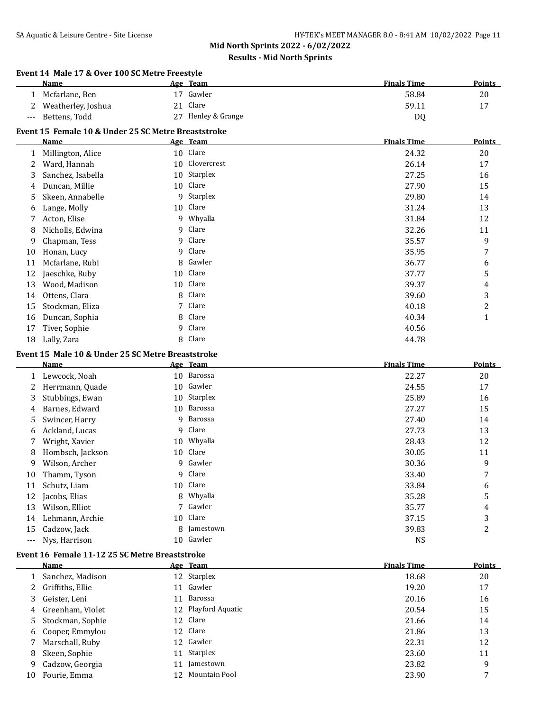### **Results - Mid North Sprints**

# **Event 14 Male 17 & Over 100 SC Metre Freestyle Name Age** Team **Age Team Points Points Points** 1 Mcfarlane, Ben 17 Gawler 1998 120 S8.84 20 2 Weatherley, Joshua 21 Clare 59.11 17 --- Bettens, Todd 27 Henley & Grange DQ **Event 15 Female 10 & Under 25 SC Metre Breaststroke**

|    | Name              |    | Age Team    | <b>Finals Time</b> | <b>Points</b> |
|----|-------------------|----|-------------|--------------------|---------------|
|    | Millington, Alice |    | 10 Clare    | 24.32              | 20            |
| 2  | Ward, Hannah      | 10 | Clovercrest | 26.14              | 17            |
| 3  | Sanchez, Isabella | 10 | Starplex    | 27.25              | 16            |
| 4  | Duncan, Millie    | 10 | Clare       | 27.90              | 15            |
| 5. | Skeen, Annabelle  | 9  | Starplex    | 29.80              | 14            |
| 6  | Lange, Molly      | 10 | Clare       | 31.24              | 13            |
| 7  | Acton, Elise      | 9  | Whyalla     | 31.84              | 12            |
| 8  | Nicholls, Edwina  | 9  | Clare       | 32.26              | 11            |
| 9  | Chapman, Tess     | 9  | Clare       | 35.57              | 9             |
| 10 | Honan, Lucy       | 9  | Clare       | 35.95              | 7             |
| 11 | Mcfarlane, Rubi   | 8  | Gawler      | 36.77              | 6             |
| 12 | Jaeschke, Ruby    | 10 | Clare       | 37.77              | 5             |
| 13 | Wood, Madison     | 10 | Clare       | 39.37              | 4             |
| 14 | Ottens, Clara     | 8  | Clare       | 39.60              | 3             |
| 15 | Stockman, Eliza   |    | Clare       | 40.18              | 2             |
| 16 | Duncan, Sophia    | 8  | Clare       | 40.34              | $\mathbf{1}$  |
| 17 | Tiver, Sophie     | 9  | Clare       | 40.56              |               |
| 18 | Lally, Zara       | 8  | Clare       | 44.78              |               |

### **Event 15 Male 10 & Under 25 SC Metre Breaststroke**

| Name             |    |           | <b>Finals Time</b>                                                                                                                             | <b>Points</b> |
|------------------|----|-----------|------------------------------------------------------------------------------------------------------------------------------------------------|---------------|
| Lewcock, Noah    | 10 |           | 22.27                                                                                                                                          | 20            |
| Herrmann, Quade  |    |           | 24.55                                                                                                                                          | 17            |
| Stubbings, Ewan  |    |           | 25.89                                                                                                                                          | 16            |
| Barnes, Edward   | 10 |           | 27.27                                                                                                                                          | 15            |
| Swincer, Harry   | 9  | Barossa   | 27.40                                                                                                                                          | 14            |
| Ackland, Lucas   | 9  |           | 27.73                                                                                                                                          | 13            |
| Wright, Xavier   |    |           | 28.43                                                                                                                                          | 12            |
| Hombsch, Jackson |    |           | 30.05                                                                                                                                          | 11            |
| Wilson, Archer   | 9. |           | 30.36                                                                                                                                          | 9             |
| Thamm, Tyson     | 9  | Clare     | 33.40                                                                                                                                          | 7             |
| Schutz, Liam     |    |           | 33.84                                                                                                                                          | 6             |
| Jacobs, Elias    | 8  |           | 35.28                                                                                                                                          | 5             |
| Wilson, Elliot   | 7  |           | 35.77                                                                                                                                          | 4             |
| Lehmann, Archie  |    |           | 37.15                                                                                                                                          | 3             |
| Cadzow, Jack     | 8  | Jamestown | 39.83                                                                                                                                          | 2             |
| Nys, Harrison    | 10 | Gawler    | <b>NS</b>                                                                                                                                      |               |
|                  |    | 10<br>10  | Age Team<br>Barossa<br>Gawler<br>10 Starplex<br>Barossa<br>Clare<br>10 Whyalla<br>Clare<br>Gawler<br>10 Clare<br>Whyalla<br>Gawler<br>10 Clare |               |

#### **Event 16 Female 11-12 25 SC Metre Breaststroke**

|    | Name               |    | Age Team            | <b>Finals Time</b> | <b>Points</b> |
|----|--------------------|----|---------------------|--------------------|---------------|
|    | Sanchez, Madison   |    | 12 Starplex         | 18.68              | 20            |
|    | 2 Griffiths, Ellie | 11 | Gawler              | 19.20              | 17            |
| 3  | Geister, Leni      | 11 | Barossa             | 20.16              | 16            |
|    | 4 Greenham, Violet |    | 12 Playford Aquatic | 20.54              | 15            |
|    | 5 Stockman, Sophie |    | 12 Clare            | 21.66              | 14            |
|    | 6 Cooper, Emmylou  |    | 12 Clare            | 21.86              | 13            |
|    | Marschall, Ruby    |    | 12 Gawler           | 22.31              | 12            |
| 8  | Skeen, Sophie      | 11 | Starplex            | 23.60              | 11            |
| 9  | Cadzow, Georgia    | 11 | Jamestown           | 23.82              | 9             |
| 10 | Fourie, Emma       | 12 | Mountain Pool       | 23.90              | -             |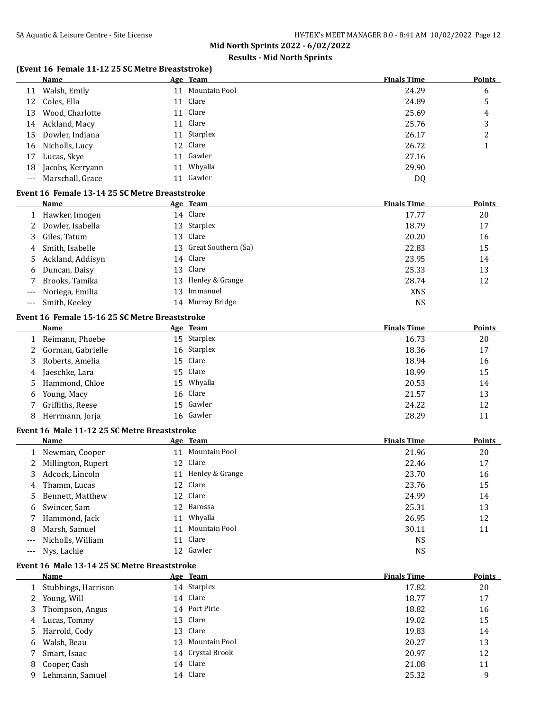# **Results - Mid North Sprints**

# **(Event 16 Female 11-12 25 SC Metre Breaststroke)**

|     | <b>Name</b>                                    |    | Age Team               | <b>Finals Time</b> | <b>Points</b> |
|-----|------------------------------------------------|----|------------------------|--------------------|---------------|
| 11  | Walsh, Emily                                   |    | 11 Mountain Pool       | 24.29              | 6             |
| 12  | Coles, Ella                                    |    | 11 Clare               | 24.89              | 5             |
| 13  | Wood, Charlotte                                |    | 11 Clare               | 25.69              | 4             |
| 14  | Ackland, Macy                                  |    | 11 Clare               | 25.76              | 3             |
| 15  | Dowler, Indiana                                |    | 11 Starplex            | 26.17              | 2             |
| 16  | Nicholls, Lucy                                 |    | 12 Clare               | 26.72              | 1             |
| 17  | Lucas, Skye                                    | 11 | Gawler                 | 27.16              |               |
| 18  | Jacobs, Kerryann                               |    | 11 Whyalla             | 29.90              |               |
| --- | Marschall, Grace                               |    | 11 Gawler              | <b>DQ</b>          |               |
|     |                                                |    |                        |                    |               |
|     | Event 16 Female 13-14 25 SC Metre Breaststroke |    |                        |                    |               |
|     | Name                                           |    | Age Team               | <b>Finals Time</b> | <b>Points</b> |
|     | 1 Hawker, Imogen                               |    | 14 Clare               | 17.77              | 20            |
| 2   | Dowler, Isabella                               |    | 13 Starplex            | 18.79              | 17            |
| 3   | Giles, Tatum                                   |    | 13 Clare               | 20.20              | 16            |
| 4   | Smith, Isabelle                                |    | 13 Great Southern (Sa) | 22.83              | 15            |
| 5   | Ackland, Addisyn                               |    | 14 Clare               | 23.95              | 14            |
| 6   | Duncan, Daisy                                  |    | 13 Clare               | 25.33              | 13            |
| 7   | Brooks, Tamika                                 |    | 13 Henley & Grange     | 28.74              | 12            |
| --- | Noriega, Emilia                                |    | 13 Immanuel            | <b>XNS</b>         |               |
| --- | Smith, Keeley                                  |    | 14 Murray Bridge       | <b>NS</b>          |               |
|     | Event 16 Female 15-16 25 SC Metre Breaststroke |    |                        |                    |               |
|     | <b>Name</b>                                    |    | Age Team               | <b>Finals Time</b> | <b>Points</b> |
| 1   | Reimann, Phoebe                                |    | 15 Starplex            | 16.73              | 20            |
| 2   | Gorman, Gabrielle                              |    | 16 Starplex            | 18.36              | 17            |
| 3   | Roberts, Amelia                                | 15 | Clare                  | 18.94              | 16            |
| 4   | Jaeschke, Lara                                 |    | 15 Clare               | 18.99              | 15            |
| 5   | Hammond, Chloe                                 |    | 15 Whyalla             | 20.53              | 14            |
| 6   | Young, Macy                                    | 16 | Clare                  | 21.57              | 13            |
| 7   | Griffiths, Reese                               |    | 15 Gawler              | 24.22              | 12            |
|     | Herrmann, Jorja                                |    | 16 Gawler              | 28.29              | 11            |
| 8   |                                                |    |                        |                    |               |
|     | Event 16 Male 11-12 25 SC Metre Breaststroke   |    |                        |                    |               |
|     | <b>Name</b>                                    |    | Age Team               | <b>Finals Time</b> | <b>Points</b> |
| 1   | Newman, Cooper                                 |    | 11 Mountain Pool       | 21.96              | 20            |
| 2   | Millington, Rupert                             |    | 12 Clare               | 22.46              | 17            |
| 3   | Adcock, Lincoln                                |    | 11 Henley & Grange     | 23.70              | 16            |
| 4   | Thamm, Lucas                                   |    | 12 Clare               | 23.76              | 15            |
| 5   | Bennett, Matthew                               |    | 12 Clare               | 24.99              | 14            |
| 6   | Swincer, Sam                                   | 12 | Barossa                | 25.31              | 13            |
| 7   | Hammond, Jack                                  | 11 | Whyalla                | 26.95              | 12            |
| 8   | Marsh, Samuel                                  | 11 | Mountain Pool          | 30.11              | 11            |
| --- | Nicholls, William                              | 11 | Clare                  | <b>NS</b>          |               |
| --- | Nys, Lachie                                    |    | 12 Gawler              | <b>NS</b>          |               |
|     | Event 16 Male 13-14 25 SC Metre Breaststroke   |    |                        |                    |               |
|     | <b>Name</b>                                    |    | Age Team               | <b>Finals Time</b> | <b>Points</b> |
| 1   | Stubbings, Harrison                            |    | 14 Starplex            | 17.82              | 20            |
| 2   | Young, Will                                    |    | 14 Clare               | 18.77              | 17            |
| 3   | Thompson, Angus                                |    | 14 Port Pirie          | 18.82              | 16            |
| 4   | Lucas, Tommy                                   |    | 13 Clare               | 19.02              | 15            |
|     |                                                | 13 | Clare                  | 19.83              | 14            |
| 5   | Harrold, Cody                                  | 13 | Mountain Pool          | 20.27              | 13            |
| 6   | Walsh, Beau                                    |    | 14 Crystal Brook       |                    | 12            |
| 7   | Smart, Isaac                                   |    |                        | 20.97              |               |

8 Cooper, Cash 14 Clare 21.08 11 9 Lehmann, Samuel 14 Clare 25.32 9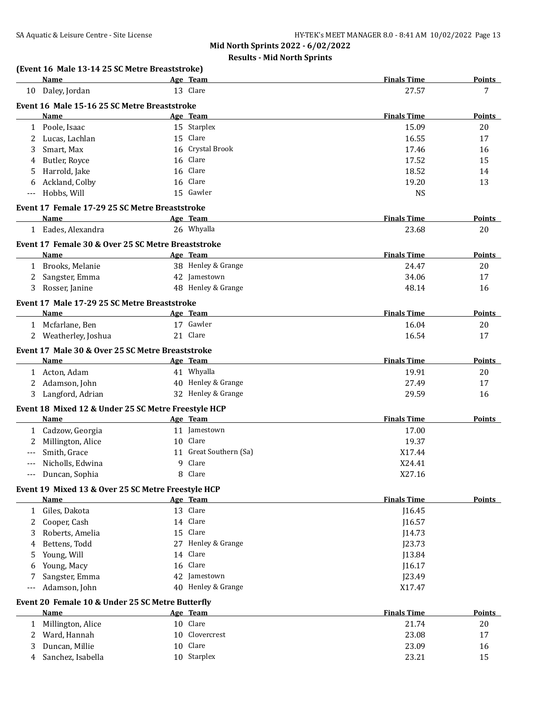| 13 Clare<br>27.57<br>10 Daley, Jordan<br>Event 16 Male 15-16 25 SC Metre Breaststroke<br><b>Finals Time</b><br><b>Name</b><br>Age Team<br>15 Starplex<br>1 Poole, Isaac<br>15.09<br>15 Clare<br>Lucas, Lachlan<br>2<br>16.55<br>3<br>Smart, Max<br>16 Crystal Brook<br>17.46<br>16 Clare<br>17.52<br>Butler, Royce<br>4<br>16 Clare<br>Harrold, Jake<br>18.52<br>5<br>16 Clare<br>Ackland, Colby<br>19.20<br>6<br>Hobbs, Will<br>15 Gawler<br><b>NS</b><br>$---$<br>Event 17 Female 17-29 25 SC Metre Breaststroke<br><b>Finals Time</b><br>Age Team<br>Name<br>26 Whyalla<br>1 Eades, Alexandra<br>23.68<br>Event 17 Female 30 & Over 25 SC Metre Breaststroke<br><b>Finals Time</b><br>Name<br>Age Team<br>38 Henley & Grange<br>Brooks, Melanie<br>24.47<br>1<br>42 Jamestown<br>Sangster, Emma<br>34.06<br>17<br>2<br>48 Henley & Grange<br>Rosser, Janine<br>48.14<br>3<br>Event 17 Male 17-29 25 SC Metre Breaststroke<br><b>Finals Time</b><br>Age Team<br>Points<br>Name<br>17 Gawler<br>1 Mcfarlane, Ben<br>16.04<br>20<br>Weatherley, Joshua<br>21 Clare<br>16.54<br>17<br>2<br>Event 17 Male 30 & Over 25 SC Metre Breaststroke<br><b>Finals Time</b><br>Name<br>Age Team<br>41 Whyalla<br>1 Acton, Adam<br>19.91<br>Adamson, John<br>40 Henley & Grange<br>27.49<br>2<br>32 Henley & Grange<br>3 Langford, Adrian<br>29.59<br>Event 18 Mixed 12 & Under 25 SC Metre Freestyle HCP<br><b>Finals Time</b><br>Name<br>Age Team<br>11 Jamestown<br>1 Cadzow, Georgia<br>17.00<br>Millington, Alice<br>10 Clare<br>19.37<br>2<br>Smith, Grace<br>11 Great Southern (Sa)<br>X17.44<br>9 Clare<br>X24.41<br>Nicholls, Edwina<br>---<br>8 Clare<br>Duncan, Sophia<br>X27.16<br>$\qquad \qquad - -$<br>Event 19 Mixed 13 & Over 25 SC Metre Freestyle HCP<br><b>Finals Time</b><br>Name<br>Age Team<br>13 Clare<br>1 Giles, Dakota<br>J16.45<br>14 Clare<br>Cooper, Cash<br>116.57<br>2<br>Roberts, Amelia<br>15 Clare<br>J14.73<br>3<br>Bettens, Todd<br>27 Henley & Grange<br>J23.73<br>4<br>Young, Will<br>14 Clare<br>J13.84<br>5<br>16 Clare<br>Young, Macy<br>J16.17<br>6<br>Sangster, Emma<br>42 Jamestown<br>J23.49<br>7<br>Adamson, John<br>40 Henley & Grange<br>X17.47<br>$---$<br>Event 20 Female 10 & Under 25 SC Metre Butterfly<br><b>Finals Time</b><br>Name<br>Age Team<br>10 Clare<br>1 Millington, Alice<br>21.74<br>10 Clovercrest<br>Ward, Hannah<br>23.08<br>2<br>10 Clare<br>Duncan, Millie<br>23.09<br>3 | Name              | Age Team | <b>Finals Time</b> | Points        |
|-------------------------------------------------------------------------------------------------------------------------------------------------------------------------------------------------------------------------------------------------------------------------------------------------------------------------------------------------------------------------------------------------------------------------------------------------------------------------------------------------------------------------------------------------------------------------------------------------------------------------------------------------------------------------------------------------------------------------------------------------------------------------------------------------------------------------------------------------------------------------------------------------------------------------------------------------------------------------------------------------------------------------------------------------------------------------------------------------------------------------------------------------------------------------------------------------------------------------------------------------------------------------------------------------------------------------------------------------------------------------------------------------------------------------------------------------------------------------------------------------------------------------------------------------------------------------------------------------------------------------------------------------------------------------------------------------------------------------------------------------------------------------------------------------------------------------------------------------------------------------------------------------------------------------------------------------------------------------------------------------------------------------------------------------------------------------------------------------------------------------------------------------------------------------------------------------------------------------------------------------------------------------------------------------------------------------------------------------------------------------------------------------------------------------------------|-------------------|----------|--------------------|---------------|
|                                                                                                                                                                                                                                                                                                                                                                                                                                                                                                                                                                                                                                                                                                                                                                                                                                                                                                                                                                                                                                                                                                                                                                                                                                                                                                                                                                                                                                                                                                                                                                                                                                                                                                                                                                                                                                                                                                                                                                                                                                                                                                                                                                                                                                                                                                                                                                                                                                     |                   |          |                    | 7             |
|                                                                                                                                                                                                                                                                                                                                                                                                                                                                                                                                                                                                                                                                                                                                                                                                                                                                                                                                                                                                                                                                                                                                                                                                                                                                                                                                                                                                                                                                                                                                                                                                                                                                                                                                                                                                                                                                                                                                                                                                                                                                                                                                                                                                                                                                                                                                                                                                                                     |                   |          |                    |               |
|                                                                                                                                                                                                                                                                                                                                                                                                                                                                                                                                                                                                                                                                                                                                                                                                                                                                                                                                                                                                                                                                                                                                                                                                                                                                                                                                                                                                                                                                                                                                                                                                                                                                                                                                                                                                                                                                                                                                                                                                                                                                                                                                                                                                                                                                                                                                                                                                                                     |                   |          |                    | <b>Points</b> |
|                                                                                                                                                                                                                                                                                                                                                                                                                                                                                                                                                                                                                                                                                                                                                                                                                                                                                                                                                                                                                                                                                                                                                                                                                                                                                                                                                                                                                                                                                                                                                                                                                                                                                                                                                                                                                                                                                                                                                                                                                                                                                                                                                                                                                                                                                                                                                                                                                                     |                   |          |                    | 20            |
|                                                                                                                                                                                                                                                                                                                                                                                                                                                                                                                                                                                                                                                                                                                                                                                                                                                                                                                                                                                                                                                                                                                                                                                                                                                                                                                                                                                                                                                                                                                                                                                                                                                                                                                                                                                                                                                                                                                                                                                                                                                                                                                                                                                                                                                                                                                                                                                                                                     |                   |          |                    | 17            |
|                                                                                                                                                                                                                                                                                                                                                                                                                                                                                                                                                                                                                                                                                                                                                                                                                                                                                                                                                                                                                                                                                                                                                                                                                                                                                                                                                                                                                                                                                                                                                                                                                                                                                                                                                                                                                                                                                                                                                                                                                                                                                                                                                                                                                                                                                                                                                                                                                                     |                   |          |                    | 16            |
|                                                                                                                                                                                                                                                                                                                                                                                                                                                                                                                                                                                                                                                                                                                                                                                                                                                                                                                                                                                                                                                                                                                                                                                                                                                                                                                                                                                                                                                                                                                                                                                                                                                                                                                                                                                                                                                                                                                                                                                                                                                                                                                                                                                                                                                                                                                                                                                                                                     |                   |          |                    | 15            |
|                                                                                                                                                                                                                                                                                                                                                                                                                                                                                                                                                                                                                                                                                                                                                                                                                                                                                                                                                                                                                                                                                                                                                                                                                                                                                                                                                                                                                                                                                                                                                                                                                                                                                                                                                                                                                                                                                                                                                                                                                                                                                                                                                                                                                                                                                                                                                                                                                                     |                   |          |                    | 14            |
|                                                                                                                                                                                                                                                                                                                                                                                                                                                                                                                                                                                                                                                                                                                                                                                                                                                                                                                                                                                                                                                                                                                                                                                                                                                                                                                                                                                                                                                                                                                                                                                                                                                                                                                                                                                                                                                                                                                                                                                                                                                                                                                                                                                                                                                                                                                                                                                                                                     |                   |          |                    | 13            |
|                                                                                                                                                                                                                                                                                                                                                                                                                                                                                                                                                                                                                                                                                                                                                                                                                                                                                                                                                                                                                                                                                                                                                                                                                                                                                                                                                                                                                                                                                                                                                                                                                                                                                                                                                                                                                                                                                                                                                                                                                                                                                                                                                                                                                                                                                                                                                                                                                                     |                   |          |                    |               |
|                                                                                                                                                                                                                                                                                                                                                                                                                                                                                                                                                                                                                                                                                                                                                                                                                                                                                                                                                                                                                                                                                                                                                                                                                                                                                                                                                                                                                                                                                                                                                                                                                                                                                                                                                                                                                                                                                                                                                                                                                                                                                                                                                                                                                                                                                                                                                                                                                                     |                   |          |                    |               |
|                                                                                                                                                                                                                                                                                                                                                                                                                                                                                                                                                                                                                                                                                                                                                                                                                                                                                                                                                                                                                                                                                                                                                                                                                                                                                                                                                                                                                                                                                                                                                                                                                                                                                                                                                                                                                                                                                                                                                                                                                                                                                                                                                                                                                                                                                                                                                                                                                                     |                   |          |                    | Points        |
|                                                                                                                                                                                                                                                                                                                                                                                                                                                                                                                                                                                                                                                                                                                                                                                                                                                                                                                                                                                                                                                                                                                                                                                                                                                                                                                                                                                                                                                                                                                                                                                                                                                                                                                                                                                                                                                                                                                                                                                                                                                                                                                                                                                                                                                                                                                                                                                                                                     |                   |          |                    | 20            |
|                                                                                                                                                                                                                                                                                                                                                                                                                                                                                                                                                                                                                                                                                                                                                                                                                                                                                                                                                                                                                                                                                                                                                                                                                                                                                                                                                                                                                                                                                                                                                                                                                                                                                                                                                                                                                                                                                                                                                                                                                                                                                                                                                                                                                                                                                                                                                                                                                                     |                   |          |                    |               |
|                                                                                                                                                                                                                                                                                                                                                                                                                                                                                                                                                                                                                                                                                                                                                                                                                                                                                                                                                                                                                                                                                                                                                                                                                                                                                                                                                                                                                                                                                                                                                                                                                                                                                                                                                                                                                                                                                                                                                                                                                                                                                                                                                                                                                                                                                                                                                                                                                                     |                   |          |                    | <b>Points</b> |
|                                                                                                                                                                                                                                                                                                                                                                                                                                                                                                                                                                                                                                                                                                                                                                                                                                                                                                                                                                                                                                                                                                                                                                                                                                                                                                                                                                                                                                                                                                                                                                                                                                                                                                                                                                                                                                                                                                                                                                                                                                                                                                                                                                                                                                                                                                                                                                                                                                     |                   |          |                    | 20            |
|                                                                                                                                                                                                                                                                                                                                                                                                                                                                                                                                                                                                                                                                                                                                                                                                                                                                                                                                                                                                                                                                                                                                                                                                                                                                                                                                                                                                                                                                                                                                                                                                                                                                                                                                                                                                                                                                                                                                                                                                                                                                                                                                                                                                                                                                                                                                                                                                                                     |                   |          |                    |               |
|                                                                                                                                                                                                                                                                                                                                                                                                                                                                                                                                                                                                                                                                                                                                                                                                                                                                                                                                                                                                                                                                                                                                                                                                                                                                                                                                                                                                                                                                                                                                                                                                                                                                                                                                                                                                                                                                                                                                                                                                                                                                                                                                                                                                                                                                                                                                                                                                                                     |                   |          |                    | 16            |
|                                                                                                                                                                                                                                                                                                                                                                                                                                                                                                                                                                                                                                                                                                                                                                                                                                                                                                                                                                                                                                                                                                                                                                                                                                                                                                                                                                                                                                                                                                                                                                                                                                                                                                                                                                                                                                                                                                                                                                                                                                                                                                                                                                                                                                                                                                                                                                                                                                     |                   |          |                    |               |
|                                                                                                                                                                                                                                                                                                                                                                                                                                                                                                                                                                                                                                                                                                                                                                                                                                                                                                                                                                                                                                                                                                                                                                                                                                                                                                                                                                                                                                                                                                                                                                                                                                                                                                                                                                                                                                                                                                                                                                                                                                                                                                                                                                                                                                                                                                                                                                                                                                     |                   |          |                    |               |
|                                                                                                                                                                                                                                                                                                                                                                                                                                                                                                                                                                                                                                                                                                                                                                                                                                                                                                                                                                                                                                                                                                                                                                                                                                                                                                                                                                                                                                                                                                                                                                                                                                                                                                                                                                                                                                                                                                                                                                                                                                                                                                                                                                                                                                                                                                                                                                                                                                     |                   |          |                    |               |
|                                                                                                                                                                                                                                                                                                                                                                                                                                                                                                                                                                                                                                                                                                                                                                                                                                                                                                                                                                                                                                                                                                                                                                                                                                                                                                                                                                                                                                                                                                                                                                                                                                                                                                                                                                                                                                                                                                                                                                                                                                                                                                                                                                                                                                                                                                                                                                                                                                     |                   |          |                    |               |
|                                                                                                                                                                                                                                                                                                                                                                                                                                                                                                                                                                                                                                                                                                                                                                                                                                                                                                                                                                                                                                                                                                                                                                                                                                                                                                                                                                                                                                                                                                                                                                                                                                                                                                                                                                                                                                                                                                                                                                                                                                                                                                                                                                                                                                                                                                                                                                                                                                     |                   |          |                    |               |
|                                                                                                                                                                                                                                                                                                                                                                                                                                                                                                                                                                                                                                                                                                                                                                                                                                                                                                                                                                                                                                                                                                                                                                                                                                                                                                                                                                                                                                                                                                                                                                                                                                                                                                                                                                                                                                                                                                                                                                                                                                                                                                                                                                                                                                                                                                                                                                                                                                     |                   |          |                    |               |
|                                                                                                                                                                                                                                                                                                                                                                                                                                                                                                                                                                                                                                                                                                                                                                                                                                                                                                                                                                                                                                                                                                                                                                                                                                                                                                                                                                                                                                                                                                                                                                                                                                                                                                                                                                                                                                                                                                                                                                                                                                                                                                                                                                                                                                                                                                                                                                                                                                     |                   |          |                    | Points        |
|                                                                                                                                                                                                                                                                                                                                                                                                                                                                                                                                                                                                                                                                                                                                                                                                                                                                                                                                                                                                                                                                                                                                                                                                                                                                                                                                                                                                                                                                                                                                                                                                                                                                                                                                                                                                                                                                                                                                                                                                                                                                                                                                                                                                                                                                                                                                                                                                                                     |                   |          |                    | 20            |
|                                                                                                                                                                                                                                                                                                                                                                                                                                                                                                                                                                                                                                                                                                                                                                                                                                                                                                                                                                                                                                                                                                                                                                                                                                                                                                                                                                                                                                                                                                                                                                                                                                                                                                                                                                                                                                                                                                                                                                                                                                                                                                                                                                                                                                                                                                                                                                                                                                     |                   |          |                    | 17            |
|                                                                                                                                                                                                                                                                                                                                                                                                                                                                                                                                                                                                                                                                                                                                                                                                                                                                                                                                                                                                                                                                                                                                                                                                                                                                                                                                                                                                                                                                                                                                                                                                                                                                                                                                                                                                                                                                                                                                                                                                                                                                                                                                                                                                                                                                                                                                                                                                                                     |                   |          |                    | 16            |
|                                                                                                                                                                                                                                                                                                                                                                                                                                                                                                                                                                                                                                                                                                                                                                                                                                                                                                                                                                                                                                                                                                                                                                                                                                                                                                                                                                                                                                                                                                                                                                                                                                                                                                                                                                                                                                                                                                                                                                                                                                                                                                                                                                                                                                                                                                                                                                                                                                     |                   |          |                    |               |
|                                                                                                                                                                                                                                                                                                                                                                                                                                                                                                                                                                                                                                                                                                                                                                                                                                                                                                                                                                                                                                                                                                                                                                                                                                                                                                                                                                                                                                                                                                                                                                                                                                                                                                                                                                                                                                                                                                                                                                                                                                                                                                                                                                                                                                                                                                                                                                                                                                     |                   |          |                    | Points        |
|                                                                                                                                                                                                                                                                                                                                                                                                                                                                                                                                                                                                                                                                                                                                                                                                                                                                                                                                                                                                                                                                                                                                                                                                                                                                                                                                                                                                                                                                                                                                                                                                                                                                                                                                                                                                                                                                                                                                                                                                                                                                                                                                                                                                                                                                                                                                                                                                                                     |                   |          |                    |               |
|                                                                                                                                                                                                                                                                                                                                                                                                                                                                                                                                                                                                                                                                                                                                                                                                                                                                                                                                                                                                                                                                                                                                                                                                                                                                                                                                                                                                                                                                                                                                                                                                                                                                                                                                                                                                                                                                                                                                                                                                                                                                                                                                                                                                                                                                                                                                                                                                                                     |                   |          |                    |               |
|                                                                                                                                                                                                                                                                                                                                                                                                                                                                                                                                                                                                                                                                                                                                                                                                                                                                                                                                                                                                                                                                                                                                                                                                                                                                                                                                                                                                                                                                                                                                                                                                                                                                                                                                                                                                                                                                                                                                                                                                                                                                                                                                                                                                                                                                                                                                                                                                                                     |                   |          |                    |               |
|                                                                                                                                                                                                                                                                                                                                                                                                                                                                                                                                                                                                                                                                                                                                                                                                                                                                                                                                                                                                                                                                                                                                                                                                                                                                                                                                                                                                                                                                                                                                                                                                                                                                                                                                                                                                                                                                                                                                                                                                                                                                                                                                                                                                                                                                                                                                                                                                                                     |                   |          |                    |               |
|                                                                                                                                                                                                                                                                                                                                                                                                                                                                                                                                                                                                                                                                                                                                                                                                                                                                                                                                                                                                                                                                                                                                                                                                                                                                                                                                                                                                                                                                                                                                                                                                                                                                                                                                                                                                                                                                                                                                                                                                                                                                                                                                                                                                                                                                                                                                                                                                                                     |                   |          |                    |               |
|                                                                                                                                                                                                                                                                                                                                                                                                                                                                                                                                                                                                                                                                                                                                                                                                                                                                                                                                                                                                                                                                                                                                                                                                                                                                                                                                                                                                                                                                                                                                                                                                                                                                                                                                                                                                                                                                                                                                                                                                                                                                                                                                                                                                                                                                                                                                                                                                                                     |                   |          |                    |               |
|                                                                                                                                                                                                                                                                                                                                                                                                                                                                                                                                                                                                                                                                                                                                                                                                                                                                                                                                                                                                                                                                                                                                                                                                                                                                                                                                                                                                                                                                                                                                                                                                                                                                                                                                                                                                                                                                                                                                                                                                                                                                                                                                                                                                                                                                                                                                                                                                                                     |                   |          |                    | <b>Points</b> |
|                                                                                                                                                                                                                                                                                                                                                                                                                                                                                                                                                                                                                                                                                                                                                                                                                                                                                                                                                                                                                                                                                                                                                                                                                                                                                                                                                                                                                                                                                                                                                                                                                                                                                                                                                                                                                                                                                                                                                                                                                                                                                                                                                                                                                                                                                                                                                                                                                                     |                   |          |                    |               |
|                                                                                                                                                                                                                                                                                                                                                                                                                                                                                                                                                                                                                                                                                                                                                                                                                                                                                                                                                                                                                                                                                                                                                                                                                                                                                                                                                                                                                                                                                                                                                                                                                                                                                                                                                                                                                                                                                                                                                                                                                                                                                                                                                                                                                                                                                                                                                                                                                                     |                   |          |                    |               |
|                                                                                                                                                                                                                                                                                                                                                                                                                                                                                                                                                                                                                                                                                                                                                                                                                                                                                                                                                                                                                                                                                                                                                                                                                                                                                                                                                                                                                                                                                                                                                                                                                                                                                                                                                                                                                                                                                                                                                                                                                                                                                                                                                                                                                                                                                                                                                                                                                                     |                   |          |                    |               |
|                                                                                                                                                                                                                                                                                                                                                                                                                                                                                                                                                                                                                                                                                                                                                                                                                                                                                                                                                                                                                                                                                                                                                                                                                                                                                                                                                                                                                                                                                                                                                                                                                                                                                                                                                                                                                                                                                                                                                                                                                                                                                                                                                                                                                                                                                                                                                                                                                                     |                   |          |                    |               |
|                                                                                                                                                                                                                                                                                                                                                                                                                                                                                                                                                                                                                                                                                                                                                                                                                                                                                                                                                                                                                                                                                                                                                                                                                                                                                                                                                                                                                                                                                                                                                                                                                                                                                                                                                                                                                                                                                                                                                                                                                                                                                                                                                                                                                                                                                                                                                                                                                                     |                   |          |                    |               |
|                                                                                                                                                                                                                                                                                                                                                                                                                                                                                                                                                                                                                                                                                                                                                                                                                                                                                                                                                                                                                                                                                                                                                                                                                                                                                                                                                                                                                                                                                                                                                                                                                                                                                                                                                                                                                                                                                                                                                                                                                                                                                                                                                                                                                                                                                                                                                                                                                                     |                   |          |                    |               |
|                                                                                                                                                                                                                                                                                                                                                                                                                                                                                                                                                                                                                                                                                                                                                                                                                                                                                                                                                                                                                                                                                                                                                                                                                                                                                                                                                                                                                                                                                                                                                                                                                                                                                                                                                                                                                                                                                                                                                                                                                                                                                                                                                                                                                                                                                                                                                                                                                                     |                   |          |                    |               |
|                                                                                                                                                                                                                                                                                                                                                                                                                                                                                                                                                                                                                                                                                                                                                                                                                                                                                                                                                                                                                                                                                                                                                                                                                                                                                                                                                                                                                                                                                                                                                                                                                                                                                                                                                                                                                                                                                                                                                                                                                                                                                                                                                                                                                                                                                                                                                                                                                                     |                   |          |                    |               |
|                                                                                                                                                                                                                                                                                                                                                                                                                                                                                                                                                                                                                                                                                                                                                                                                                                                                                                                                                                                                                                                                                                                                                                                                                                                                                                                                                                                                                                                                                                                                                                                                                                                                                                                                                                                                                                                                                                                                                                                                                                                                                                                                                                                                                                                                                                                                                                                                                                     |                   |          |                    |               |
|                                                                                                                                                                                                                                                                                                                                                                                                                                                                                                                                                                                                                                                                                                                                                                                                                                                                                                                                                                                                                                                                                                                                                                                                                                                                                                                                                                                                                                                                                                                                                                                                                                                                                                                                                                                                                                                                                                                                                                                                                                                                                                                                                                                                                                                                                                                                                                                                                                     |                   |          |                    | <b>Points</b> |
|                                                                                                                                                                                                                                                                                                                                                                                                                                                                                                                                                                                                                                                                                                                                                                                                                                                                                                                                                                                                                                                                                                                                                                                                                                                                                                                                                                                                                                                                                                                                                                                                                                                                                                                                                                                                                                                                                                                                                                                                                                                                                                                                                                                                                                                                                                                                                                                                                                     |                   |          |                    | 20            |
|                                                                                                                                                                                                                                                                                                                                                                                                                                                                                                                                                                                                                                                                                                                                                                                                                                                                                                                                                                                                                                                                                                                                                                                                                                                                                                                                                                                                                                                                                                                                                                                                                                                                                                                                                                                                                                                                                                                                                                                                                                                                                                                                                                                                                                                                                                                                                                                                                                     |                   |          |                    | 17            |
|                                                                                                                                                                                                                                                                                                                                                                                                                                                                                                                                                                                                                                                                                                                                                                                                                                                                                                                                                                                                                                                                                                                                                                                                                                                                                                                                                                                                                                                                                                                                                                                                                                                                                                                                                                                                                                                                                                                                                                                                                                                                                                                                                                                                                                                                                                                                                                                                                                     |                   |          |                    | 16            |
| 10 Starplex<br>4                                                                                                                                                                                                                                                                                                                                                                                                                                                                                                                                                                                                                                                                                                                                                                                                                                                                                                                                                                                                                                                                                                                                                                                                                                                                                                                                                                                                                                                                                                                                                                                                                                                                                                                                                                                                                                                                                                                                                                                                                                                                                                                                                                                                                                                                                                                                                                                                                    | Sanchez, Isabella |          | 23.21              | 15            |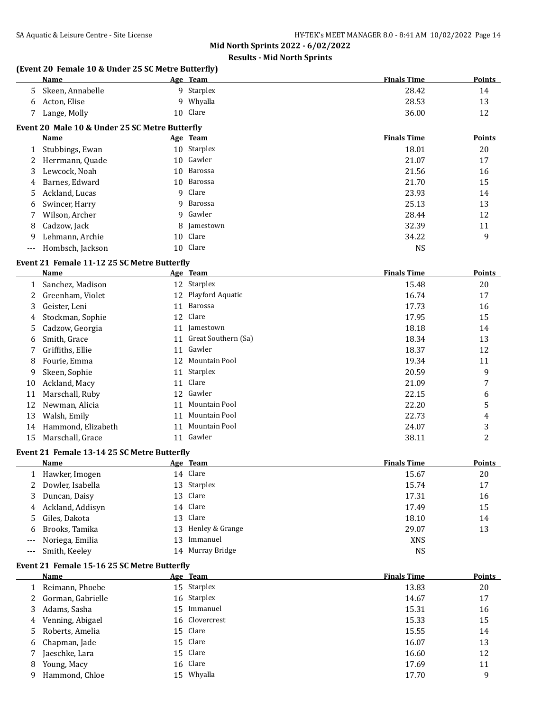# **Results - Mid North Sprints**

### **(Event 20 Female 10 & Under 25 SC Metre Butterfly)**

| <b>Name</b>      | Age | Team     | <b>Finals Time</b> | <b>Points</b> |
|------------------|-----|----------|--------------------|---------------|
| Skeen, Annabelle |     | Starplex | 28.42              | 14            |
| Acton, Elise     |     | Whyalla  | 28.53              | 13            |
| Lange, Molly     |     | 10 Clare | 36.00              | 12            |

### **Event 20 Male 10 & Under 25 SC Metre Butterfly**

|   | Name                 | Age Team    | <b>Finals Time</b> | <b>Points</b> |
|---|----------------------|-------------|--------------------|---------------|
|   | 1 Stubbings, Ewan    | 10 Starplex | 18.01              | 20            |
|   | 2 Herrmann, Quade    | 10 Gawler   | 21.07              | 17            |
|   | 3 Lewcock, Noah      | 10 Barossa  | 21.56              | 16            |
|   | 4 Barnes, Edward     | 10 Barossa  | 21.70              | 15            |
|   | 5 Ackland, Lucas     | 9 Clare     | 23.93              | 14            |
| 6 | Swincer, Harry       | 9 Barossa   | 25.13              | 13            |
| 7 | Wilson, Archer       | 9 Gawler    | 28.44              | 12            |
|   | 8 Cadzow, Jack       | 8 Jamestown | 32.39              | 11            |
| 9 | Lehmann, Archie      | 10 Clare    | 34.22              | 9             |
|   | --- Hombsch, Jackson | 10 Clare    | <b>NS</b>          |               |

### **Event 21 Female 11-12 25 SC Metre Butterfly**

|    | Name               |    | Age Team            | <b>Finals Time</b> | <b>Points</b> |
|----|--------------------|----|---------------------|--------------------|---------------|
|    | Sanchez, Madison   |    | 12 Starplex         | 15.48              | 20            |
|    | Greenham, Violet   | 12 | Playford Aquatic    | 16.74              | 17            |
| 3  | Geister, Leni      | 11 | Barossa             | 17.73              | 16            |
| 4  | Stockman, Sophie   | 12 | Clare               | 17.95              | 15            |
| 5. | Cadzow, Georgia    | 11 | Jamestown           | 18.18              | 14            |
| 6  | Smith, Grace       | 11 | Great Southern (Sa) | 18.34              | 13            |
|    | Griffiths, Ellie   | 11 | Gawler              | 18.37              | 12            |
| 8  | Fourie, Emma       | 12 | Mountain Pool       | 19.34              | 11            |
| 9  | Skeen, Sophie      | 11 | Starplex            | 20.59              | 9             |
| 10 | Ackland, Macy      | 11 | Clare               | 21.09              | 7             |
| 11 | Marschall, Ruby    | 12 | Gawler              | 22.15              | 6             |
| 12 | Newman, Alicia     | 11 | Mountain Pool       | 22.20              | 5             |
| 13 | Walsh, Emily       | 11 | Mountain Pool       | 22.73              | 4             |
| 14 | Hammond, Elizabeth | 11 | Mountain Pool       | 24.07              | 3             |
| 15 | Marschall, Grace   | 11 | Gawler              | 38.11              | 2             |
|    |                    |    |                     |                    |               |

#### **Event 21 Female 13-14 25 SC Metre Butterfly**

| Name                |    | Age Team           | <b>Finals Time</b> | <b>Points</b> |
|---------------------|----|--------------------|--------------------|---------------|
| 1 Hawker, Imogen    |    | 14 Clare           | 15.67              | 20            |
| 2 Dowler, Isabella  |    | 13 Starplex        | 15.74              | 17            |
| 3 Duncan, Daisy     |    | 13 Clare           | 17.31              | 16            |
| 4 Ackland, Addisyn  |    | 14 Clare           | 17.49              | 15            |
| 5 Giles, Dakota     |    | 13 Clare           | 18.10              | 14            |
| 6 Brooks, Tamika    |    | 13 Henley & Grange | 29.07              | 13            |
| --- Noriega, Emilia | 13 | Immanuel           | <b>XNS</b>         |               |
| --- Smith, Keeley   | 14 | Murray Bridge      | <b>NS</b>          |               |

#### **Event 21 Female 15-16 25 SC Metre Butterfly**

|   | Name                |    | Age Team       | <b>Finals Time</b> | <b>Points</b> |
|---|---------------------|----|----------------|--------------------|---------------|
|   | Reimann, Phoebe     |    | 15 Starplex    | 13.83              | 20            |
|   | 2 Gorman, Gabrielle |    | 16 Starplex    | 14.67              | 17            |
| 3 | Adams, Sasha        | 15 | Immanuel       | 15.31              | 16            |
|   | 4 Venning, Abigael  |    | 16 Clovercrest | 15.33              | 15            |
|   | 5 Roberts, Amelia   |    | 15 Clare       | 15.55              | 14            |
|   | 6 Chapman, Jade     |    | 15 Clare       | 16.07              | 13            |
|   | Jaeschke, Lara      |    | 15 Clare       | 16.60              | 12            |
| 8 | Young, Macy         |    | 16 Clare       | 17.69              | 11            |
| 9 | Hammond, Chloe      |    | 15 Whyalla     | 17.70              | 9             |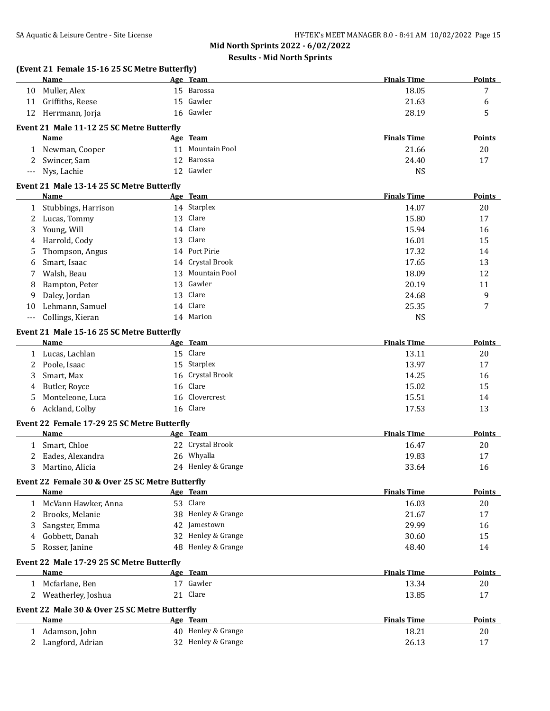|             | (Event 21 Female 15-16 25 SC Metre Butterfly)<br>Name    |    | Age Team           | <b>Finals Time</b> | <b>Points</b> |
|-------------|----------------------------------------------------------|----|--------------------|--------------------|---------------|
|             | 10 Muller, Alex                                          |    | 15 Barossa         | 18.05              | 7             |
|             | 11 Griffiths, Reese                                      |    | 15 Gawler          | 21.63              | 6             |
|             | 12 Herrmann, Jorja                                       |    | 16 Gawler          | 28.19              | 5             |
|             | Event 21 Male 11-12 25 SC Metre Butterfly                |    |                    |                    |               |
|             | Name                                                     |    | Age Team           | <b>Finals Time</b> | <b>Points</b> |
|             | 1 Newman, Cooper                                         |    | 11 Mountain Pool   | 21.66              | 20            |
| 2           | Swincer, Sam                                             |    | 12 Barossa         | 24.40              | 17            |
| $---$       | Nys, Lachie                                              |    | 12 Gawler          | <b>NS</b>          |               |
|             |                                                          |    |                    |                    |               |
|             | Event 21 Male 13-14 25 SC Metre Butterfly<br><b>Name</b> |    | Age Team           | <b>Finals Time</b> | Points        |
| 1           | Stubbings, Harrison                                      |    | 14 Starplex        | 14.07              | 20            |
| 2           | Lucas, Tommy                                             |    | 13 Clare           | 15.80              | 17            |
| 3           | Young, Will                                              |    | 14 Clare           | 15.94              | 16            |
| 4           | Harrold, Cody                                            | 13 | Clare              | 16.01              | 15            |
| 5           | Thompson, Angus                                          |    | 14 Port Pirie      | 17.32              | 14            |
| 6           | Smart, Isaac                                             |    | 14 Crystal Brook   | 17.65              | 13            |
| 7           | Walsh, Beau                                              |    | 13 Mountain Pool   | 18.09              | 12            |
| 8           | Bampton, Peter                                           | 13 | Gawler             | 20.19              | 11            |
| 9           | Daley, Jordan                                            | 13 | Clare              | 24.68              | 9             |
|             | Lehmann, Samuel                                          |    | 14 Clare           | 25.35              | 7             |
| 10<br>$---$ | Collings, Kieran                                         |    | 14 Marion          | <b>NS</b>          |               |
|             |                                                          |    |                    |                    |               |
|             | Event 21 Male 15-16 25 SC Metre Butterfly                |    |                    |                    |               |
|             | Name                                                     |    | Age Team           | <b>Finals Time</b> | Points        |
|             | 1 Lucas, Lachlan                                         |    | 15 Clare           | 13.11              | 20            |
| 2           | Poole, Isaac                                             |    | 15 Starplex        | 13.97              | 17            |
| 3           | Smart, Max                                               |    | 16 Crystal Brook   | 14.25              | 16            |
| 4           | Butler, Royce                                            |    | 16 Clare           | 15.02              | 15            |
| 5           | Monteleone, Luca                                         |    | 16 Clovercrest     | 15.51              | 14            |
| 6           | Ackland, Colby                                           |    | 16 Clare           | 17.53              | 13            |
|             | Event 22 Female 17-29 25 SC Metre Butterfly              |    |                    |                    |               |
|             | <b>Name</b>                                              |    | Age Team           | <b>Finals Time</b> | Points        |
| 1           | Smart, Chloe                                             |    | 22 Crystal Brook   | 16.47              | 20            |
| 2           | Eades, Alexandra                                         |    | 26 Whyalla         | 19.83              | 17            |
| 3           | Martino, Alicia                                          |    | 24 Henley & Grange | 33.64              | 16            |
|             | Event 22 Female 30 & Over 25 SC Metre Butterfly          |    |                    |                    |               |
|             | <b>Name</b>                                              |    | Age Team           | <b>Finals Time</b> | Points        |
|             | 1 McVann Hawker, Anna                                    |    | 53 Clare           | 16.03              | 20            |
| 2           | Brooks, Melanie                                          |    | 38 Henley & Grange | 21.67              | 17            |
| 3           | Sangster, Emma                                           |    | 42 Jamestown       | 29.99              | 16            |
| 4           | Gobbett, Danah                                           |    | 32 Henley & Grange | 30.60              | 15            |
| 5.          | Rosser, Janine                                           |    | 48 Henley & Grange | 48.40              | 14            |
|             |                                                          |    |                    |                    |               |
|             | Event 22 Male 17-29 25 SC Metre Butterfly                |    |                    |                    |               |
|             | Name                                                     |    | Age Team           | <b>Finals Time</b> | <b>Points</b> |
|             | 1 Mcfarlane, Ben                                         |    | 17 Gawler          | 13.34              | 20            |
| 2           | Weatherley, Joshua                                       |    | 21 Clare           | 13.85              | 17            |
|             | Event 22 Male 30 & Over 25 SC Metre Butterfly            |    |                    |                    |               |
|             | <b>Name</b>                                              |    | Age Team           | <b>Finals Time</b> | <b>Points</b> |
|             | 1 Adamson, John                                          |    | 40 Henley & Grange | 18.21              | 20            |
|             | 2 Langford, Adrian                                       |    | 32 Henley & Grange | 26.13              | 17            |